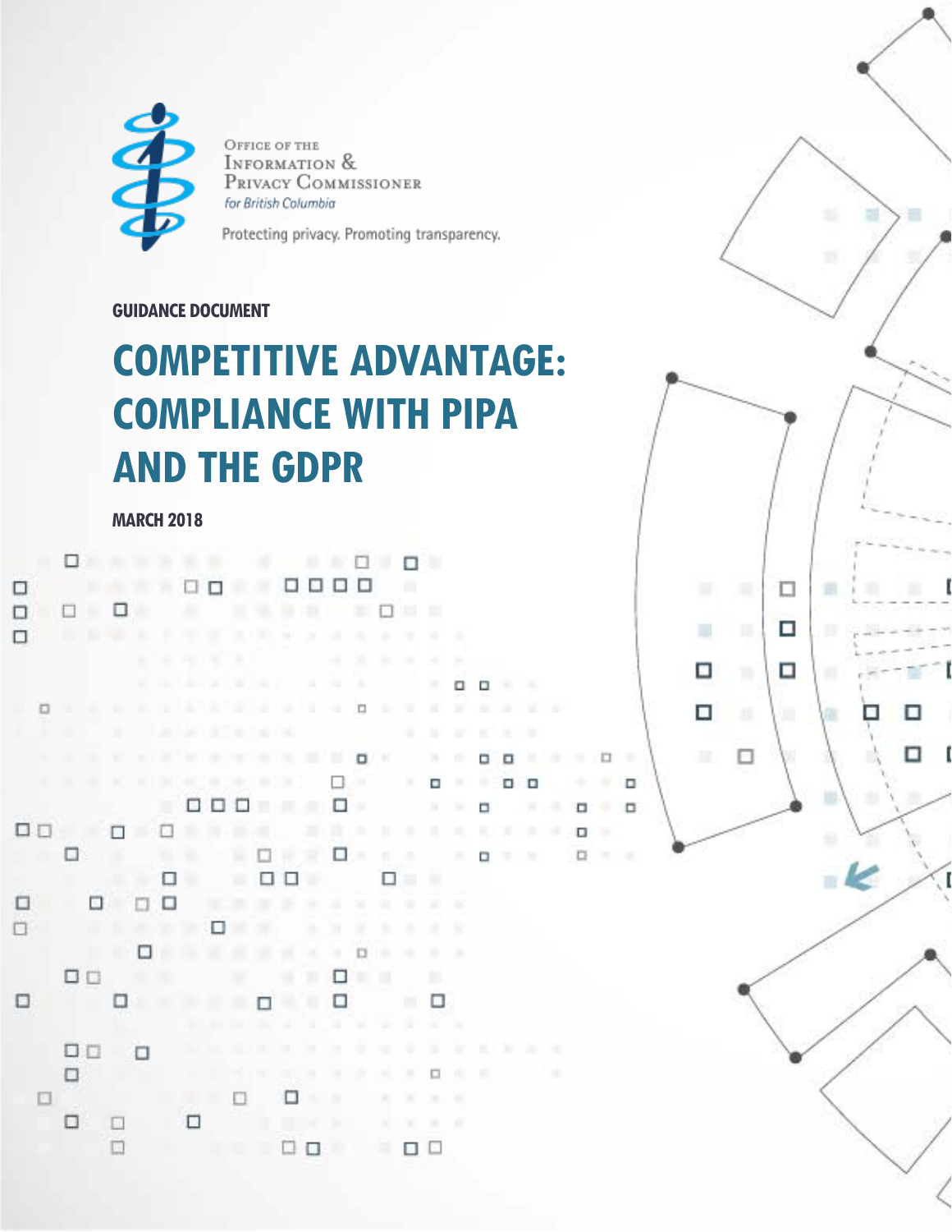

OFFICE OF THE INFORMATION & PRIVACY COMMISSIONER for British Columbia

Protecting privacy. Promoting transparency.

# **GUIDANCE DOCUMENT**

# **COMPETITIVE ADVANTAGE: COMPLIANCE WITH PIPA AND THE GDPR**

 $\Box$ 

П

П

ш

Ω

□

□

当

□

□

п

### **MARCH 2018**

|   |     |            |           |        |    |                                   |        |       |   |       |                |        |                              |        |           |               | YШ                  |               |   |                               |        |   |          |     |  |
|---|-----|------------|-----------|--------|----|-----------------------------------|--------|-------|---|-------|----------------|--------|------------------------------|--------|-----------|---------------|---------------------|---------------|---|-------------------------------|--------|---|----------|-----|--|
| □ |     |            |           |        |    |                                   |        |       |   |       |                |        | 0000                         |        |           | . .           |                     |               |   |                               |        |   |          |     |  |
| □ |     |            |           |        |    |                                   |        |       | ж | 96    | <b>98 (10)</b> |        |                              |        |           | ---           |                     |               |   |                               |        |   |          |     |  |
| □ |     |            |           |        |    |                                   |        |       |   |       |                |        | <b>NH LINK MARY A 4 4 6</b>  |        |           | -             | -                   | ÷             |   |                               |        |   |          |     |  |
|   |     |            |           |        | ×. |                                   |        |       |   |       |                |        | <b>STAR</b>                  | ×      | <b>A</b>  | - 181         | m.                  | m.            |   |                               |        |   |          |     |  |
|   |     |            |           |        | ш  |                                   |        |       |   |       |                |        |                              |        |           |               | 大                   | о             |   | $\mathbf{a}$ and $\mathbf{a}$ |        |   |          |     |  |
|   | o.  |            |           |        |    |                                   |        |       |   |       |                |        |                              |        |           |               |                     |               |   | <b>ALCOHOL:</b>               |        |   |          |     |  |
|   | n.  | T.         |           | ٠      |    |                                   |        |       |   |       |                |        | <b>CONTRACTOR CONTRACTOR</b> |        |           |               | ٠                   | ×             | ш |                               |        |   |          |     |  |
|   | TH. | W.         | <b>IB</b> | MC.    |    |                                   |        |       |   |       |                |        |                              |        |           |               |                     | $\mathbb{R}$  | o |                               |        |   | $-1 - 1$ |     |  |
|   |     |            |           |        |    | H   H   H   H   C +   H   H   H   |        |       |   |       |                |        | $\circ$                      |        |           |               | $\Box$              | ×             | 服 |                               | $\Box$ | ٠ |          | . . |  |
|   |     |            |           |        |    |                                   |        |       |   |       |                |        |                              |        |           |               | $W = W$             |               | o |                               |        |   |          |     |  |
|   |     | 00 00 00 0 |           |        |    |                                   |        |       |   |       |                |        | 言い ホール                       |        |           |               | 井顶                  |               |   |                               |        |   | .        |     |  |
|   |     | . .        |           |        |    | $9.9 - 10$                        |        |       |   |       |                |        | $\square$ is a $\square$     |        |           |               |                     | 18.1          |   |                               |        |   | .        |     |  |
|   |     |            |           |        |    | - 0                               |        |       | 冨 |       |                |        | $\Box$ $\Box$                |        | $\Box$    |               |                     |               |   |                               |        |   |          |     |  |
| □ |     |            | o         |        |    | $\Box$                            |        | $-20$ | m | 27.26 |                | 湯      | 38 76                        |        | $36 - 36$ |               | $\overline{\rm MS}$ | m             |   |                               |        |   |          |     |  |
| □ |     |            |           |        |    |                                   |        |       | × |       |                | n.     | и                            | ×      | ٠         | ٠             | ×                   | ×             |   |                               |        |   |          |     |  |
|   |     |            |           |        |    | .                                 |        |       |   |       | ALC: YES       |        | -11                          | $\Box$ | DB.       | -             | n.                  |               |   |                               |        |   |          |     |  |
|   |     | <b>DD</b>  |           |        |    |                                   |        |       |   |       |                | п      | □                            | ×.     | ш         |               | 關                   |               |   |                               |        |   |          |     |  |
| 0 |     |            |           |        |    |                                   |        |       |   |       |                |        | □                            |        |           |               | - 0                 |               |   |                               |        |   |          |     |  |
|   |     |            |           |        |    |                                   |        |       |   |       |                |        | . .                          |        | THE .     | -             |                     | - 10          |   |                               |        |   |          |     |  |
|   |     | <b>DD</b>  |           | $\Box$ |    |                                   |        |       |   |       |                |        |                              | ۰      | w         | ٠             |                     |               |   | <b>ALCOHOL:</b>               |        |   |          |     |  |
|   |     | □          |           |        |    |                                   |        |       |   |       | <b>BUDE</b>    |        | $10 - 10$                    |        | ж         |               | $\Box$              | $\mathcal{R}$ | × |                               |        |   |          |     |  |
|   |     |            |           |        |    | and the state of the state of the |        |       |   |       | $\Box$         |        | ٠                            |        |           | $\mathcal{M}$ | $\mathcal{L}$       | ×             |   |                               |        |   |          |     |  |
|   |     | □          |           | $\Box$ |    |                                   | $\Box$ |       |   |       | <b>BLOK</b>    |        | ×                            |        | $X = X$   |               | $\mathbb{R}$        | ×             |   |                               |        |   |          |     |  |
|   |     |            |           | □      |    |                                   |        |       |   |       |                | $\Box$ |                              |        | 一面        | □             | $\Box$              |               |   |                               |        |   |          |     |  |
|   |     |            |           |        |    |                                   |        |       |   |       |                |        |                              |        |           |               |                     |               |   |                               |        |   |          |     |  |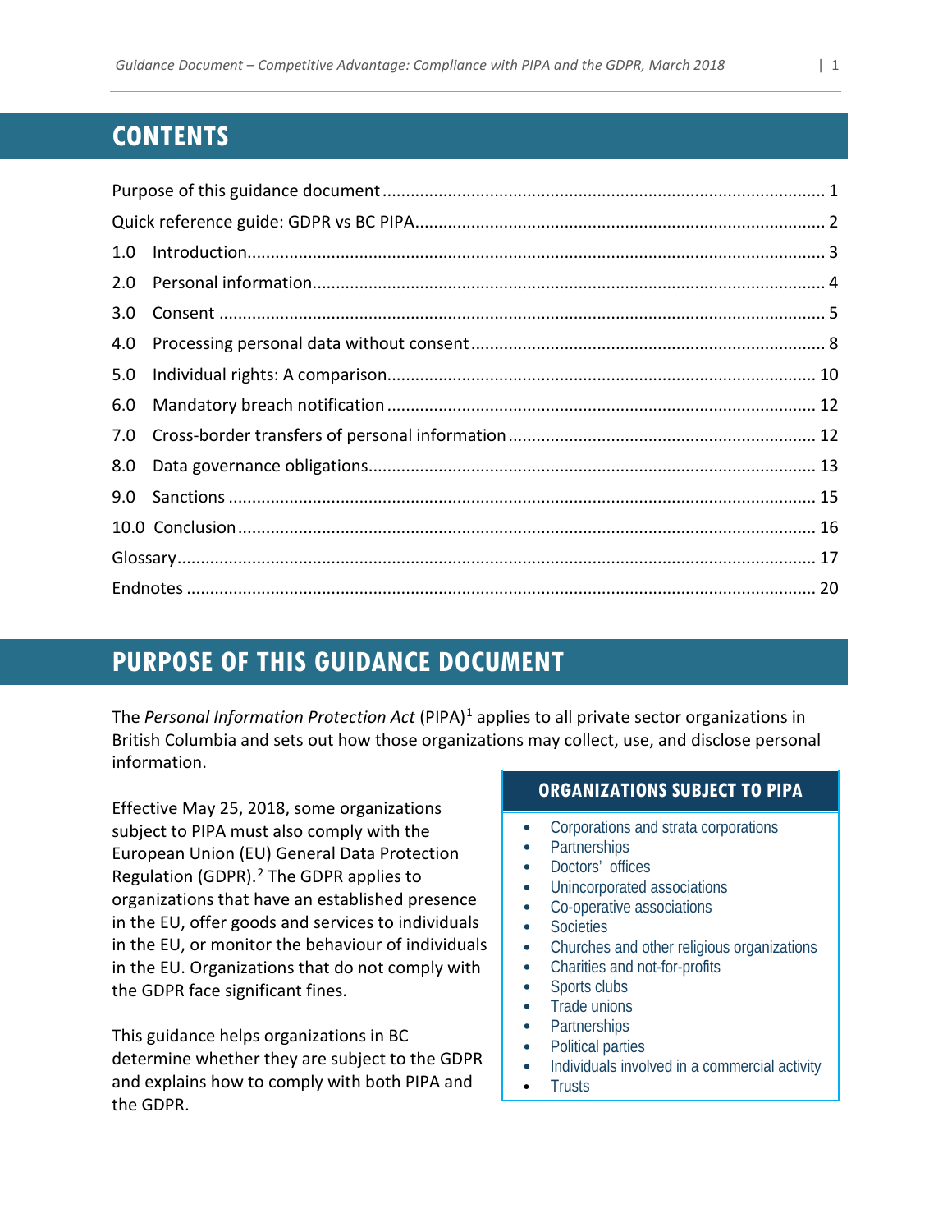# **CONTENTS**

| 1.0 |  |  |  |  |  |  |
|-----|--|--|--|--|--|--|
| 2.0 |  |  |  |  |  |  |
| 3.0 |  |  |  |  |  |  |
| 4.0 |  |  |  |  |  |  |
| 5.0 |  |  |  |  |  |  |
| 6.0 |  |  |  |  |  |  |
| 7.0 |  |  |  |  |  |  |
| 8.0 |  |  |  |  |  |  |
| 9.0 |  |  |  |  |  |  |
|     |  |  |  |  |  |  |
|     |  |  |  |  |  |  |
|     |  |  |  |  |  |  |

# <span id="page-1-0"></span>**PURPOSE OF THIS GUIDANCE DOCUMENT**

The *Personal Information Protection Act* (PIPA)[1](#page-20-1) applies to all private sector organizations in British Columbia and sets out how those organizations may collect, use, and disclose personal information.

Effective May 25, 2018, some organizations subject to PIPA must also comply with the European Union (EU) General Data Protection Regulation (GDPR). [2](#page-20-2) The GDPR applies to organizations that have an established presence in the EU, offer goods and services to individuals in the EU, or monitor the behaviour of individuals in the EU. Organizations that do not comply with the GDPR face significant fines.

This guidance helps organizations in BC determine whether they are subject to the GDPR and explains how to comply with both PIPA and the GDPR.

# **ORGANIZATIONS SUBJECT TO PIPA**

- Corporations and strata corporations
- Partnerships
- Doctors' offices
- Unincorporated associations
- Co-operative associations
- Societies
- Churches and other religious organizations
- Charities and not-for-profits
- Sports clubs
- Trade unions
- Partnerships
- Political parties
- Individuals involved in a commercial activity
- Trusts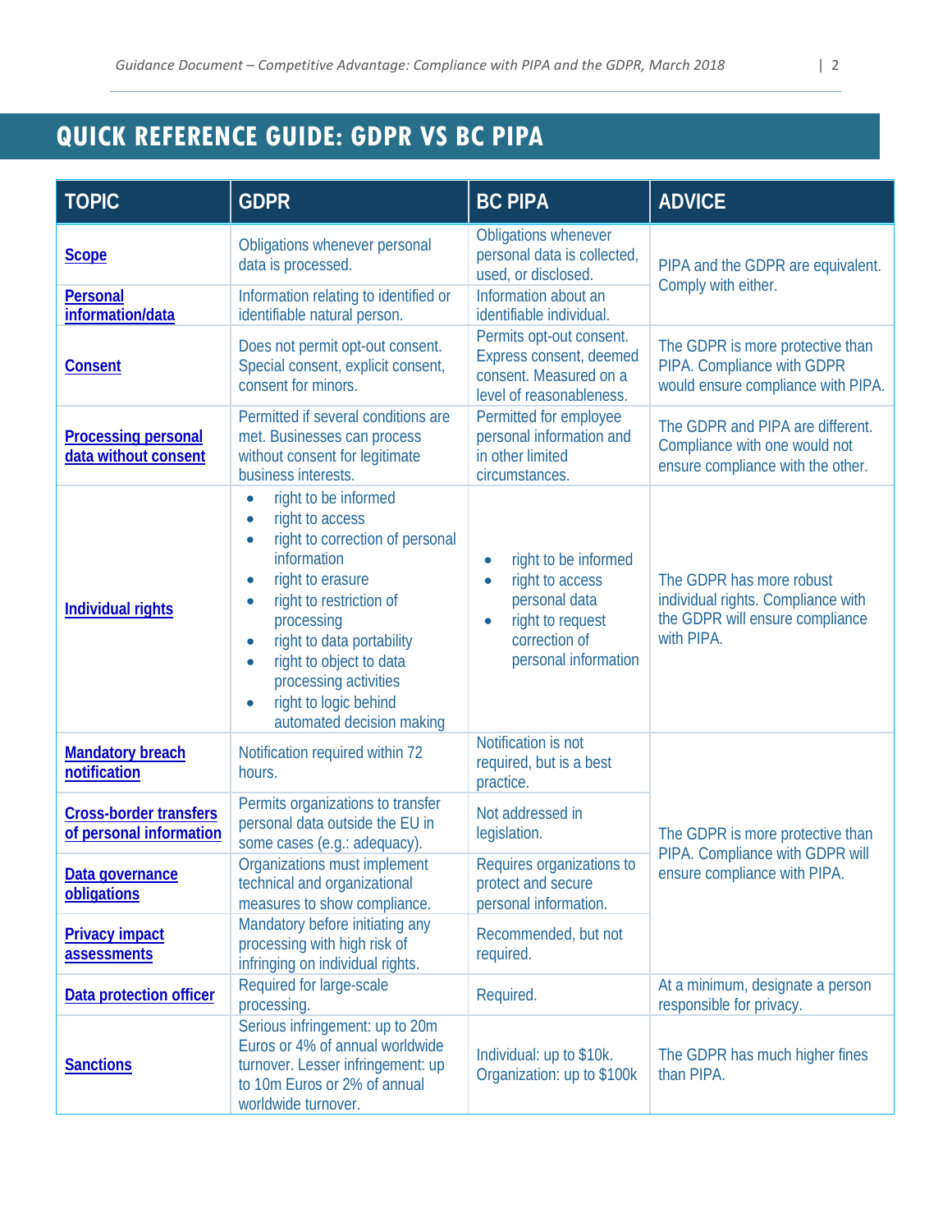# <span id="page-2-0"></span>**QUICK REFERENCE GUIDE: GDPR VS BC PIPA**

| <b>TOPIC</b>                                             | <b>GDPR</b>                                                                                                                                                                                                                                                                                                                                                                                   | <b>BC PIPA</b>                                                                                                                                               | <b>ADVICE</b>                                                                                                   |  |  |  |
|----------------------------------------------------------|-----------------------------------------------------------------------------------------------------------------------------------------------------------------------------------------------------------------------------------------------------------------------------------------------------------------------------------------------------------------------------------------------|--------------------------------------------------------------------------------------------------------------------------------------------------------------|-----------------------------------------------------------------------------------------------------------------|--|--|--|
| <b>Scope</b>                                             | Obligations whenever personal<br>data is processed.                                                                                                                                                                                                                                                                                                                                           | Obligations whenever<br>personal data is collected,<br>used, or disclosed.                                                                                   | PIPA and the GDPR are equivalent.                                                                               |  |  |  |
| Personal<br>information/data                             | Information relating to identified or<br>identifiable natural person.                                                                                                                                                                                                                                                                                                                         | Information about an<br>identifiable individual.                                                                                                             | Comply with either.                                                                                             |  |  |  |
| <b>Consent</b>                                           | Does not permit opt-out consent.<br>Special consent, explicit consent,<br>consent for minors.                                                                                                                                                                                                                                                                                                 | Permits opt-out consent.<br>Express consent, deemed<br>consent. Measured on a<br>level of reasonableness.                                                    | The GDPR is more protective than<br>PIPA. Compliance with GDPR<br>would ensure compliance with PIPA.            |  |  |  |
| <b>Processing personal</b><br>data without consent       | Permitted if several conditions are<br>met. Businesses can process<br>without consent for legitimate<br>business interests.                                                                                                                                                                                                                                                                   | Permitted for employee<br>personal information and<br>in other limited<br>circumstances.                                                                     | The GDPR and PIPA are different.<br>Compliance with one would not<br>ensure compliance with the other.          |  |  |  |
| <b>Individual rights</b>                                 | right to be informed<br>$\bullet$<br>right to access<br>$\bullet$<br>right to correction of personal<br>$\bullet$<br>information<br>right to erasure<br>$\bullet$<br>right to restriction of<br>$\bullet$<br>processing<br>right to data portability<br>۰<br>right to object to data<br>$\bullet$<br>processing activities<br>right to logic behind<br>$\bullet$<br>automated decision making | right to be informed<br>$\bullet$<br>right to access<br>$\bullet$<br>personal data<br>right to request<br>$\bullet$<br>correction of<br>personal information | The GDPR has more robust<br>individual rights. Compliance with<br>the GDPR will ensure compliance<br>with PIPA. |  |  |  |
| <b>Mandatory breach</b><br>notification                  | Notification required within 72<br>hours.                                                                                                                                                                                                                                                                                                                                                     | Notification is not<br>required, but is a best<br>practice.                                                                                                  |                                                                                                                 |  |  |  |
| <b>Cross-border transfers</b><br>of personal information | Permits organizations to transfer<br>personal data outside the EU in<br>some cases (e.g.: adequacy).                                                                                                                                                                                                                                                                                          | Not addressed in<br>legislation.                                                                                                                             | The GDPR is more protective than                                                                                |  |  |  |
| Data governance<br>obligations                           | Organizations must implement<br>technical and organizational<br>measures to show compliance.                                                                                                                                                                                                                                                                                                  | Requires organizations to<br>protect and secure<br>personal information.                                                                                     | PIPA. Compliance with GDPR will<br>ensure compliance with PIPA.                                                 |  |  |  |
| <b>Privacy impact</b><br>assessments                     | Mandatory before initiating any<br>processing with high risk of<br>infringing on individual rights.                                                                                                                                                                                                                                                                                           | Recommended, but not<br>required.                                                                                                                            |                                                                                                                 |  |  |  |
| Data protection officer                                  | Required for large-scale<br>processing.                                                                                                                                                                                                                                                                                                                                                       | Required.                                                                                                                                                    | At a minimum, designate a person<br>responsible for privacy.                                                    |  |  |  |
| <b>Sanctions</b>                                         | Serious infringement: up to 20m<br>Euros or 4% of annual worldwide<br>turnover. Lesser infringement: up<br>to 10m Euros or 2% of annual<br>worldwide turnover.                                                                                                                                                                                                                                | Individual: up to \$10k.<br>Organization: up to \$100k                                                                                                       | The GDPR has much higher fines<br>than PIPA.                                                                    |  |  |  |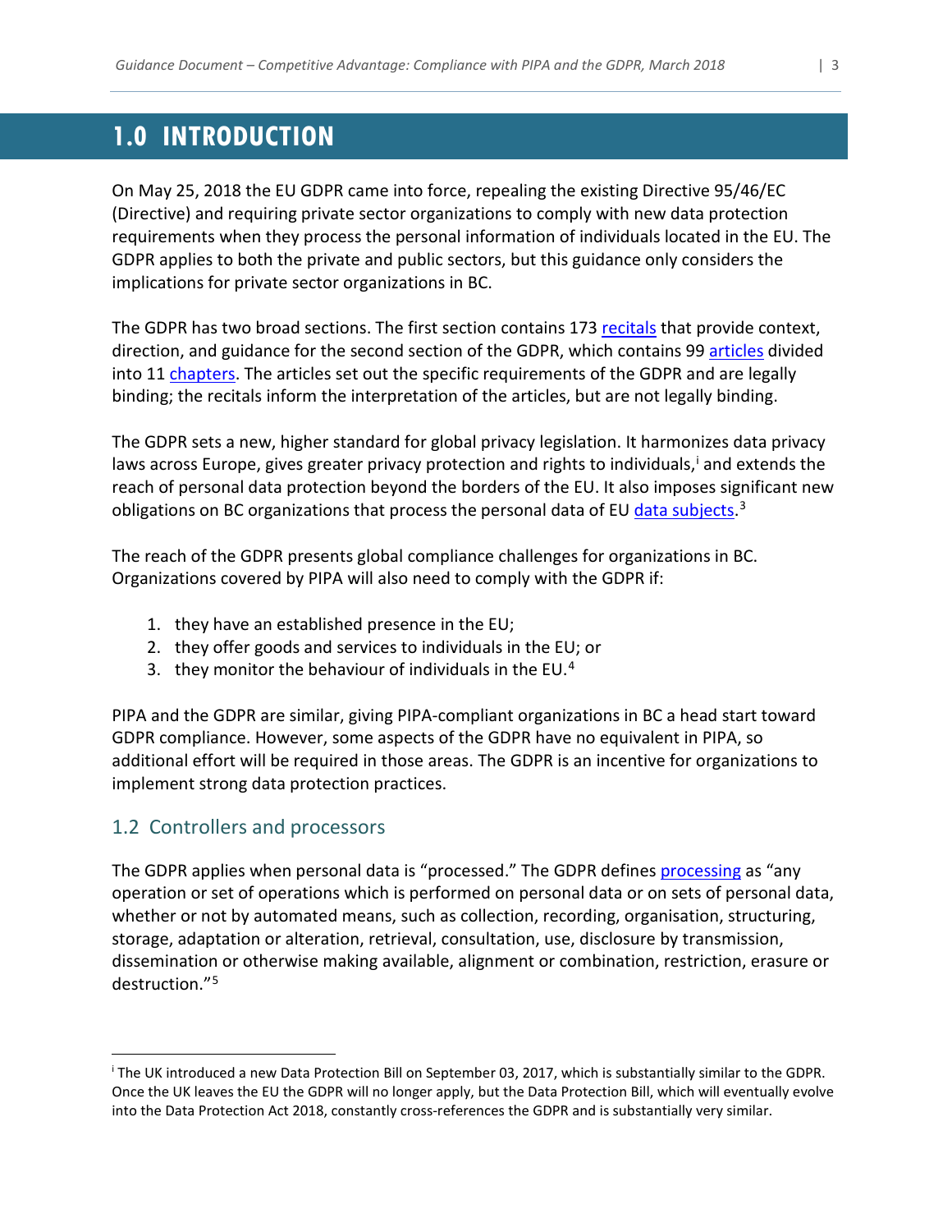# <span id="page-3-0"></span>**1.0 INTRODUCTION**

On May 25, 2018 the EU GDPR came into force, repealing the existing Directive 95/46/EC (Directive) and requiring private sector organizations to comply with new data protection requirements when they process the personal information of individuals located in the EU. The GDPR applies to both the private and public sectors, but this guidance only considers the implications for private sector organizations in BC.

The GDPR has two broad sections. The first section contains 173 [recitals](#page-19-0) that provide context, direction, and guidance for the second section of the GDPR, which contains 99 [articles](#page-17-1) divided into 11 [chapters.](#page-17-2) The articles set out the specific requirements of the GDPR and are legally binding; the recitals inform the interpretation of the articles, but are not legally binding.

The GDPR sets a new, higher standard for global privacy legislation. It harmonizes data privacy laws across Europe, g[i](#page-3-2)ves greater privacy protection and rights to individuals,<sup>i</sup> and extends the reach of personal data protection beyond the borders of the EU. It also imposes significant new obligations on BC organizations that process the personal data of EU *data subjects*.<sup>[3](#page-20-3)</sup>

The reach of the GDPR presents global compliance challenges for organizations in BC. Organizations covered by PIPA will also need to comply with the GDPR if:

- 1. they have an established presence in the EU;
- 2. they offer goods and services to individuals in the EU; or
- 3. they monitor the behaviour of individuals in the EU.[4](#page-20-4)

PIPA and the GDPR are similar, giving PIPA-compliant organizations in BC a head start toward GDPR compliance. However, some aspects of the GDPR have no equivalent in PIPA, so additional effort will be required in those areas. The GDPR is an incentive for organizations to implement strong data protection practices.

# <span id="page-3-1"></span>1.2 Controllers and processors

The GDPR applies when personal data is "processed." The GDPR defines [processing](#page-19-1) as "any operation or set of operations which is performed on personal data or on sets of personal data, whether or not by automated means, such as collection, recording, organisation, structuring, storage, adaptation or alteration, retrieval, consultation, use, disclosure by transmission, dissemination or otherwise making available, alignment or combination, restriction, erasure or destruction."[5](#page-20-5)

<span id="page-3-2"></span>i The UK introduced a new Data Protection Bill on September 03, 2017, which is substantially similar to the GDPR. Once the UK leaves the EU the GDPR will no longer apply, but the Data Protection Bill, which will eventually evolve into the Data Protection Act 2018, constantly cross-references the GDPR and is substantially very similar.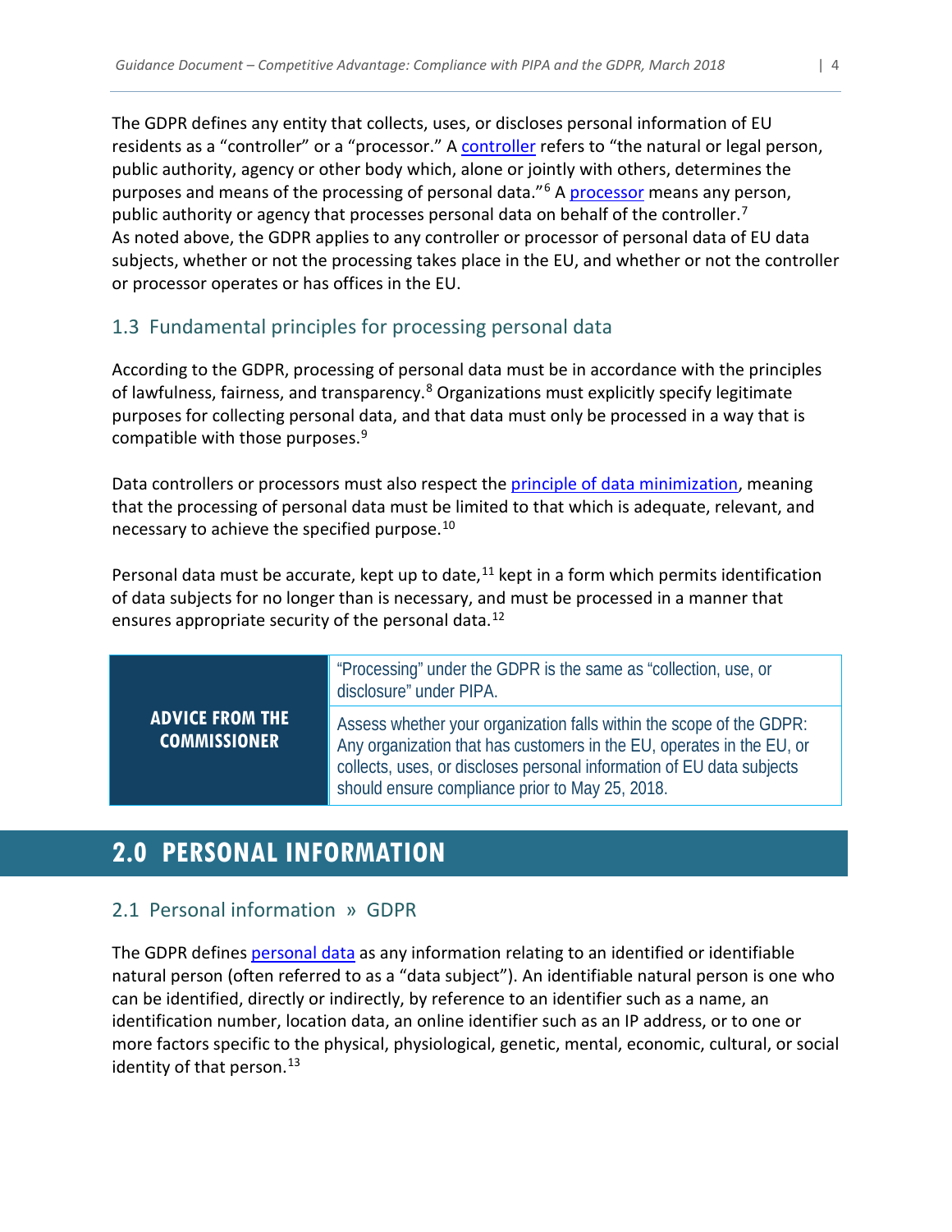The GDPR defines any entity that collects, uses, or discloses personal information of EU residents as a "controller" or a "processor." A [controller](#page-17-4) refers to "the natural or legal person, public authority, agency or other body which, alone or jointly with others, determines the purposes and means of the processing of personal data."[6](#page-20-6) A [processor](#page-19-2) means any person, public authority or agency that processes personal data on behalf of the controller.<sup>[7](#page-20-7)</sup> As noted above, the GDPR applies to any controller or processor of personal data of EU data subjects, whether or not the processing takes place in the EU, and whether or not the controller or processor operates or has offices in the EU.

# 1.3 Fundamental principles for processing personal data

According to the GDPR, processing of personal data must be in accordance with the principles of lawfulness, fairness, and transparency.<sup>[8](#page-20-8)</sup> Organizations must explicitly specify legitimate purposes for collecting personal data, and that data must only be processed in a way that is compatible with those purposes. [9](#page-20-9)

Data controllers or processors must also respect the [principle of data minimization,](#page-18-0) meaning that the processing of personal data must be limited to that which is adequate, relevant, and necessary to achieve the specified purpose. $10<sup>10</sup>$  $10<sup>10</sup>$ 

Personal data must be accurate, kept up to date, $11$  kept in a form which permits identification of data subjects for no longer than is necessary, and must be processed in a manner that ensures appropriate security of the personal data.<sup>[12](#page-20-12)</sup>

> "Processing" under the GDPR is the same as "collection, use, or disclosure" under PIPA.

Assess whether your organization falls within the scope of the GDPR: Any organization that has customers in the EU, operates in the EU, or collects, uses, or discloses personal information of EU data subjects should ensure compliance prior to May 25, 2018.

# <span id="page-4-0"></span>**2.0 PERSONAL INFORMATION**

# 2.1 Personal information » GDPR

**ADVICE FROM THE COMMISSIONER**

The GDPR define[s personal data](#page-18-1) as any information relating to an identified or identifiable natural person (often referred to as a "data subject"). An identifiable natural person is one who can be identified, directly or indirectly, by reference to an identifier such as a name, an identification number, location data, an online identifier such as an IP address, or to one or more factors specific to the physical, physiological, genetic, mental, economic, cultural, or social identity of that person.<sup>[13](#page-20-13)</sup>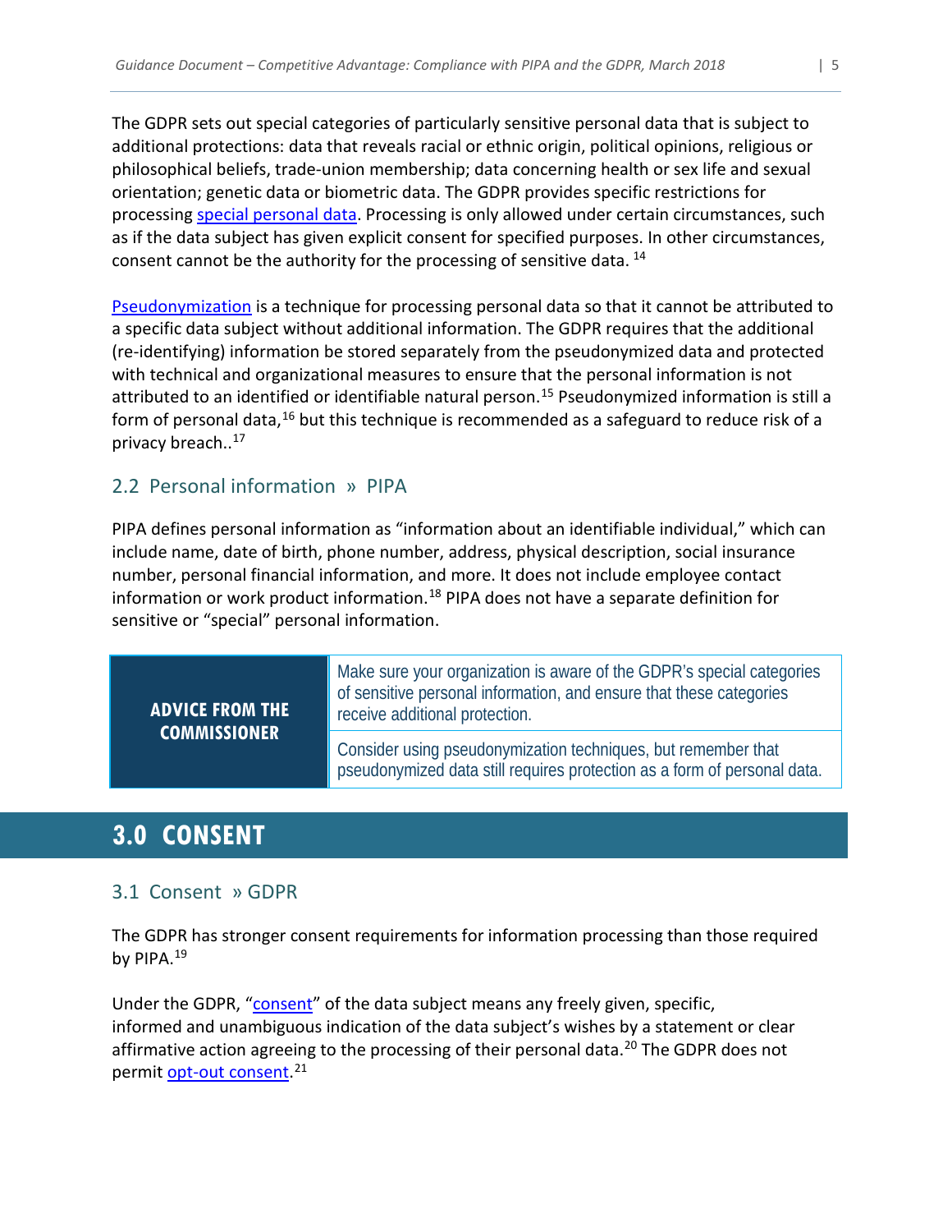The GDPR sets out special categories of particularly sensitive personal data that is subject to additional protections: data that reveals racial or ethnic origin, political opinions, religious or philosophical beliefs, trade-union membership; data concerning health or sex life and sexual orientation; genetic data or biometric data. The GDPR provides specific restrictions for processing [special personal data.](#page-19-3) Processing is only allowed under certain circumstances, such as if the data subject has given explicit consent for specified purposes. In other circumstances, consent cannot be the authority for the processing of sensitive data.<sup>[14](#page-20-14)</sup>

[Pseudonymization](#page-19-4) is a technique for processing personal data so that it cannot be attributed to a specific data subject without additional information. The GDPR requires that the additional (re-identifying) information be stored separately from the pseudonymized data and protected with technical and organizational measures to ensure that the personal information is not attributed to an identified or identifiable natural person.<sup>[15](#page-20-15)</sup> Pseudonymized information is still a form of personal data,<sup>[16](#page-20-16)</sup> but this technique is recommended as a safeguard to reduce risk of a privacy breach.. [17](#page-20-17)

# 2.2 Personal information » PIPA

PIPA defines personal information as "information about an identifiable individual," which can include name, date of birth, phone number, address, physical description, social insurance number, personal financial information, and more. It does not include employee contact information or work product information.<sup>[18](#page-20-18)</sup> PIPA does not have a separate definition for sensitive or "special" personal information.

# **ADVICE FROM THE COMMISSIONER**

Make sure your organization is aware of the GDPR's special categories of sensitive personal information, and ensure that these categories receive additional protection.

Consider using pseudonymization techniques, but remember that pseudonymized data still requires protection as a form of personal data.

# <span id="page-5-0"></span>**3.0 CONSENT**

# 3.1 Consent » GDPR

The GDPR has stronger consent requirements for information processing than those required by PIPA.<sup>[19](#page-20-19)</sup>

Under the GDPR, ["consent"](#page-17-5) of the data subject means any freely given, specific, informed and unambiguous indication of the data subject's wishes by a statement or clear affirmative action agreeing to the processing of their personal data. [20](#page-20-20) The GDPR does not permit <u>opt-out consent</u>.<sup>[21](#page-20-21)</sup>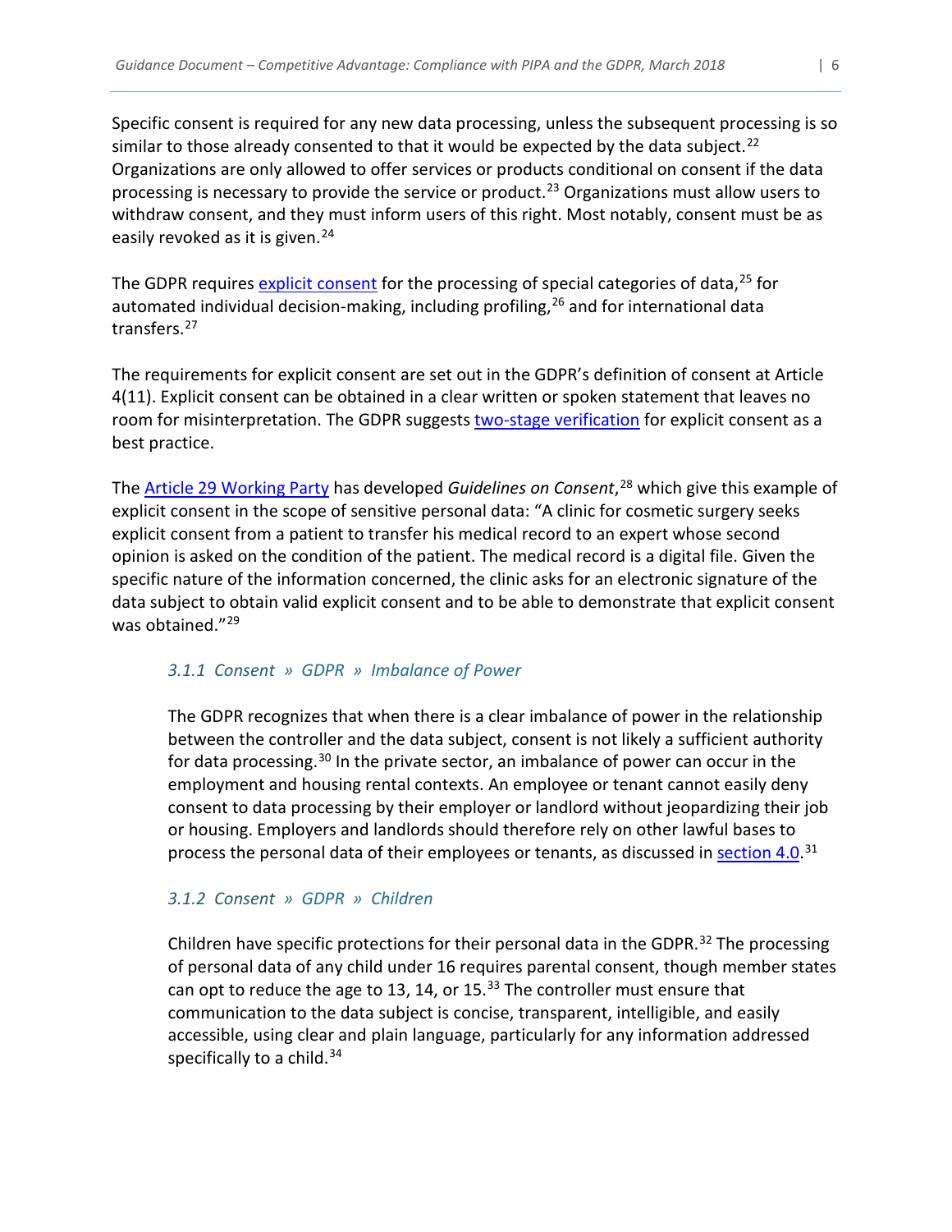Specific consent is required for any new data processing, unless the subsequent processing is so similar to those already consented to that it would be expected by the data subject.<sup>[22](#page-20-22)</sup> Organizations are only allowed to offer services or products conditional on consent if the data processing is necessary to provide the service or product.<sup>[23](#page-20-23)</sup> Organizations must allow users to withdraw consent, and they must inform users of this right. Most notably, consent must be as easily revoked as it is given.<sup>[24](#page-20-24)</sup>

The GDPR requires [explicit consent](#page-17-6) for the processing of special categories of data,<sup>[25](#page-20-25)</sup> for automated individual decision-making, including profiling,  $26$  and for international data transfers.[27](#page-20-27)

The requirements for explicit consent are set out in the GDPR's definition of consent at Article 4(11). Explicit consent can be obtained in a clear written or spoken statement that leaves no room for misinterpretation. The GDPR suggests [two-stage verification](#page-19-5) for explicit consent as a best practice.

The [Article 29 Working Party](#page-17-7) has developed *Guidelines on Consent*, [28](#page-20-28) which give this example of explicit consent in the scope of sensitive personal data: "A clinic for cosmetic surgery seeks explicit consent from a patient to transfer his medical record to an expert whose second opinion is asked on the condition of the patient. The medical record is a digital file. Given the specific nature of the information concerned, the clinic asks for an electronic signature of the data subject to obtain valid explicit consent and to be able to demonstrate that explicit consent was obtained."<sup>[29](#page-20-29)</sup>

#### *3.1.1 Consent » GDPR » Imbalance of Power*

The GDPR recognizes that when there is a clear imbalance of power in the relationship between the controller and the data subject, consent is not likely a sufficient authority for data processing.<sup>[30](#page-20-30)</sup> In the private sector, an imbalance of power can occur in the employment and housing rental contexts. An employee or tenant cannot easily deny consent to data processing by their employer or landlord without jeopardizing their job or housing. Employers and landlords should therefore rely on other lawful bases to process the personal data of their employees or tenants, as discussed in **[section](#page-8-0) 4.0.**<sup>[31](#page-20-31)</sup>

#### *3.1.2 Consent » GDPR » Children*

Children have specific protections for their personal data in the GDPR.<sup>[32](#page-20-32)</sup> The processing of personal data of any child under 16 requires parental consent, though member states can opt to reduce the age to 13, 14, or  $15.^{33}$  $15.^{33}$  $15.^{33}$  The controller must ensure that communication to the data subject is concise, transparent, intelligible, and easily accessible, using clear and plain language, particularly for any information addressed specifically to a child. $34$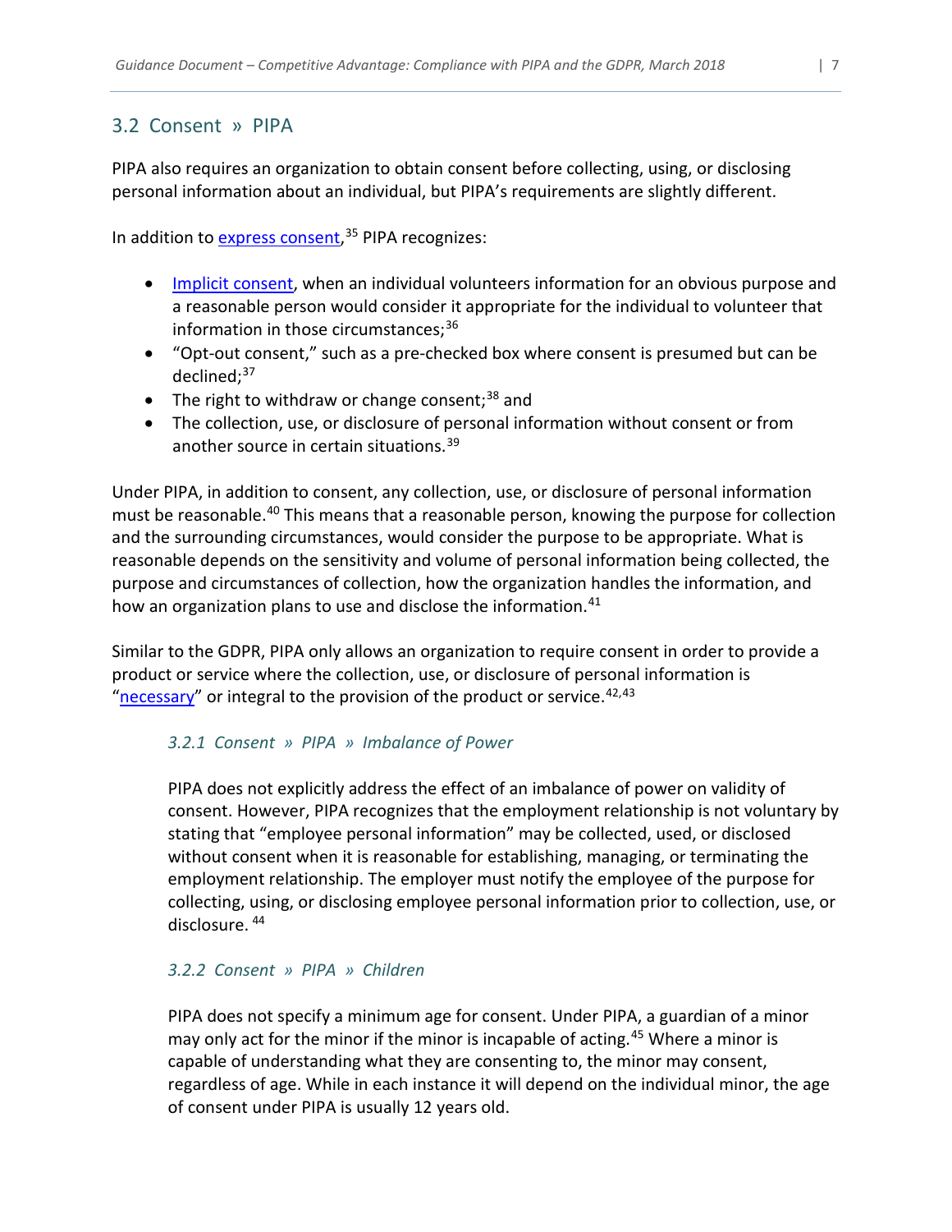### 3.2 Consent » PIPA

PIPA also requires an organization to obtain consent before collecting, using, or disclosing personal information about an individual, but PIPA's requirements are slightly different.

In addition to [express consent,](#page-18-2)<sup>[35](#page-20-35)</sup> PIPA recognizes:

- Implicit [consent,](#page-17-8) when an individual volunteers information for an obvious purpose and a reasonable person would consider it appropriate for the individual to volunteer that information in those circumstances;<sup>[36](#page-20-36)</sup>
- "Opt-out consent," such as a pre-checked box where consent is presumed but can be declined; [37](#page-20-37)
- The right to withdraw or change consent;<sup>[38](#page-20-38)</sup> and
- The collection, use, or disclosure of personal information without consent or from another source in certain situations.<sup>[39](#page-20-39)</sup>

Under PIPA, in addition to consent, any collection, use, or disclosure of personal information must be reasonable.<sup>[40](#page-20-40)</sup> This means that a reasonable person, knowing the purpose for collection and the surrounding circumstances, would consider the purpose to be appropriate. What is reasonable depends on the sensitivity and volume of personal information being collected, the purpose and circumstances of collection, how the organization handles the information, and how an organization plans to use and disclose the information.<sup>41</sup>

Similar to the GDPR, PIPA only allows an organization to require consent in order to provide a product or service where the collection, use, or disclosure of personal information is ["necessary"](#page-18-3) or integral to the provision of the product or service.  $42,43$  $42,43$  $42,43$ 

#### *3.2.1 Consent » PIPA » Imbalance of Power*

PIPA does not explicitly address the effect of an imbalance of power on validity of consent. However, PIPA recognizes that the employment relationship is not voluntary by stating that "employee personal information" may be collected, used, or disclosed without consent when it is reasonable for establishing, managing, or terminating the employment relationship. The employer must notify the employee of the purpose for collecting, using, or disclosing employee personal information prior to collection, use, or disclosure. [44](#page-20-44)

#### *3.2.2 Consent » PIPA » Children*

PIPA does not specify a minimum age for consent. Under PIPA, a guardian of a minor may only act for the minor if the minor is incapable of acting.<sup>[45](#page-20-45)</sup> Where a minor is capable of understanding what they are consenting to, the minor may consent, regardless of age. While in each instance it will depend on the individual minor, the age of consent under PIPA is usually 12 years old.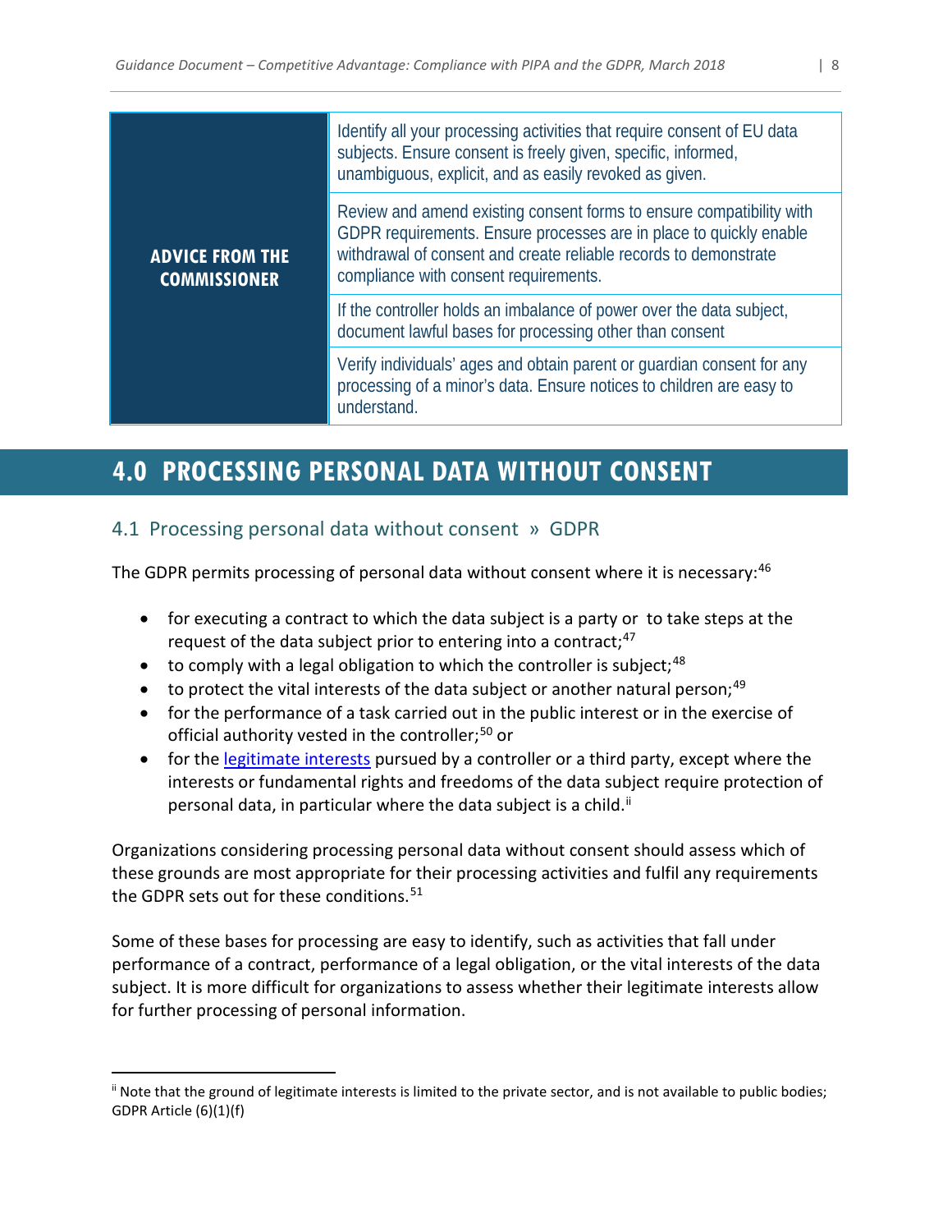|                                               | Identify all your processing activities that require consent of EU data<br>subjects. Ensure consent is freely given, specific, informed,<br>unambiguous, explicit, and as easily revoked as given.                                                      |  |  |  |  |  |  |
|-----------------------------------------------|---------------------------------------------------------------------------------------------------------------------------------------------------------------------------------------------------------------------------------------------------------|--|--|--|--|--|--|
| <b>ADVICE FROM THE</b><br><b>COMMISSIONER</b> | Review and amend existing consent forms to ensure compatibility with<br>GDPR requirements. Ensure processes are in place to quickly enable<br>withdrawal of consent and create reliable records to demonstrate<br>compliance with consent requirements. |  |  |  |  |  |  |
|                                               | If the controller holds an imbalance of power over the data subject,<br>document lawful bases for processing other than consent                                                                                                                         |  |  |  |  |  |  |
|                                               | Verify individuals' ages and obtain parent or guardian consent for any<br>processing of a minor's data. Ensure notices to children are easy to<br>understand.                                                                                           |  |  |  |  |  |  |

# <span id="page-8-0"></span>**4.0 PROCESSING PERSONAL DATA WITHOUT CONSENT**

# 4.1 Processing personal data without consent » GDPR

The GDPR permits processing of personal data without consent where it is necessary:<sup>[46](#page-20-46)</sup>

- for executing a contract to which the data subject is a party or to take steps at the request of the data subject prior to entering into a contract;<sup>[47](#page-21-0)</sup>
- $\bullet$  to comply with a legal obligation to which the controller is subject; <sup>[48](#page-21-1)</sup>
- to protect the vital interests of the data subject or another natural person;  $49$
- for the performance of a task carried out in the public interest or in the exercise of official authority vested in the controller;<sup>[50](#page-21-3)</sup> or
- for the [legitimate interests](#page-18-4) pursued by a controller or a third party, except where the interests or fundamental rights and freedoms of the data subject require protection of personal data, in particular where the data subject is a child.<sup>[ii](#page-8-1)</sup>

Organizations considering processing personal data without consent should assess which of these grounds are most appropriate for their processing activities and fulfil any requirements the GDPR sets out for these conditions.<sup>[51](#page-21-4)</sup>

Some of these bases for processing are easy to identify, such as activities that fall under performance of a contract, performance of a legal obligation, or the vital interests of the data subject. It is more difficult for organizations to assess whether their legitimate interests allow for further processing of personal information.

<span id="page-8-1"></span>ii Note that the ground of legitimate interests is limited to the private sector, and is not available to public bodies; GDPR Article (6)(1)(f)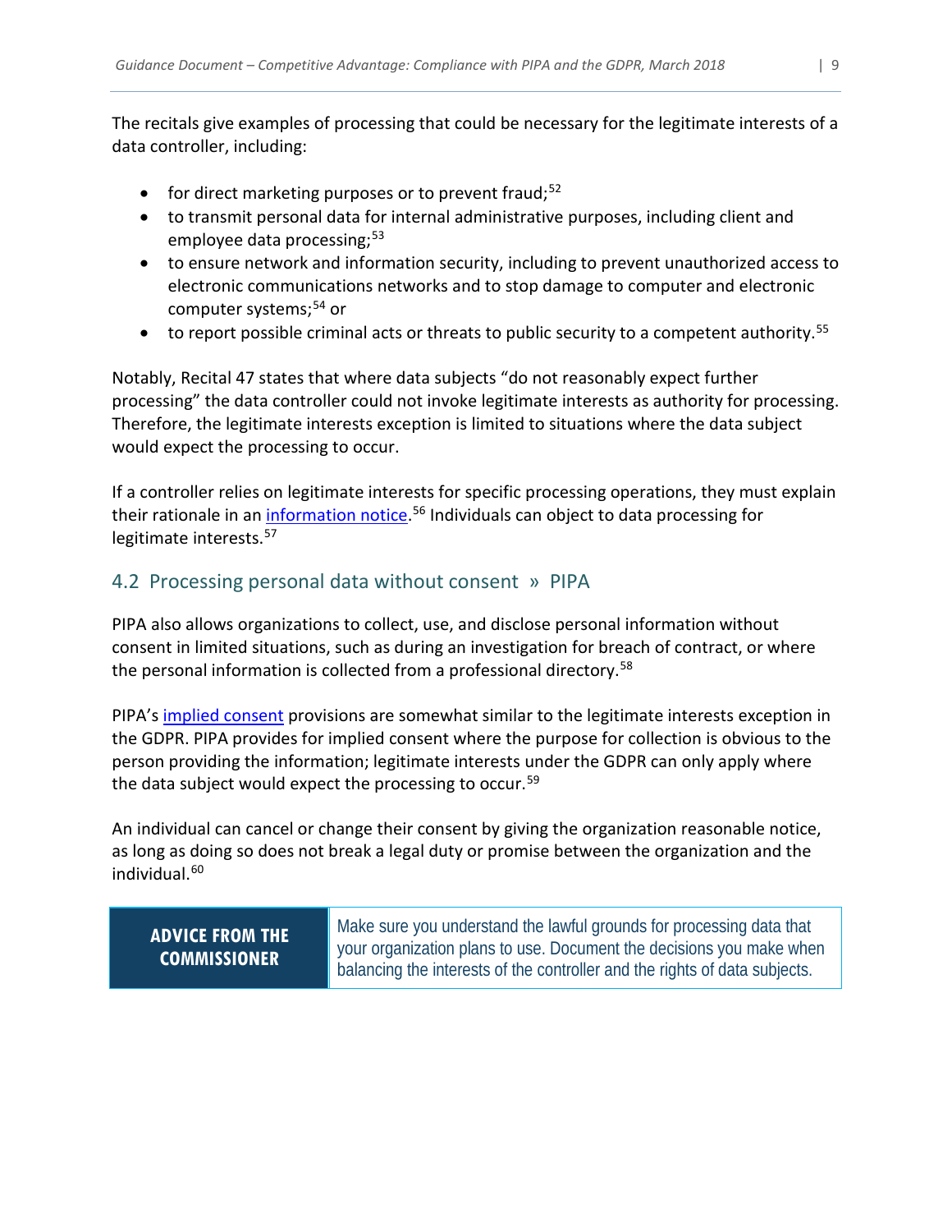The recitals give examples of processing that could be necessary for the legitimate interests of a data controller, including:

- for direct marketing purposes or to prevent fraud;<sup>[52](#page-21-5)</sup>
- to transmit personal data for internal administrative purposes, including client and employee data processing; [53](#page-21-6)
- to ensure network and information security, including to prevent unauthorized access to electronic communications networks and to stop damage to computer and electronic computer systems;<sup>[54](#page-21-7)</sup> or
- $\bullet$  to report possible criminal acts or threats to public security to a competent authority.<sup>[55](#page-21-8)</sup>

Notably, Recital 47 states that where data subjects "do not reasonably expect further processing" the data controller could not invoke legitimate interests as authority for processing. Therefore, the legitimate interests exception is limited to situations where the data subject would expect the processing to occur.

If a controller relies on legitimate interests for specific processing operations, they must explain their rationale in an *information notice*.<sup>[56](#page-21-9)</sup> Individuals can object to data processing for legitimate interests. [57](#page-21-10)

# 4.2 Processing personal data without consent » PIPA

PIPA also allows organizations to collect, use, and disclose personal information without consent in limited situations, such as during an investigation for breach of contract, or where the personal information is collected from a professional directory. [58](#page-21-11)

PIPA's [implied consent](#page-18-5) provisions are somewhat similar to the legitimate interests exception in the GDPR. PIPA provides for implied consent where the purpose for collection is obvious to the person providing the information; legitimate interests under the GDPR can only apply where the data subject would expect the processing to occur.<sup>[59](#page-21-12)</sup>

An individual can cancel or change their consent by giving the organization reasonable notice, as long as doing so does not break a legal duty or promise between the organization and the individual.<sup>[60](#page-21-13)</sup>

<span id="page-9-0"></span>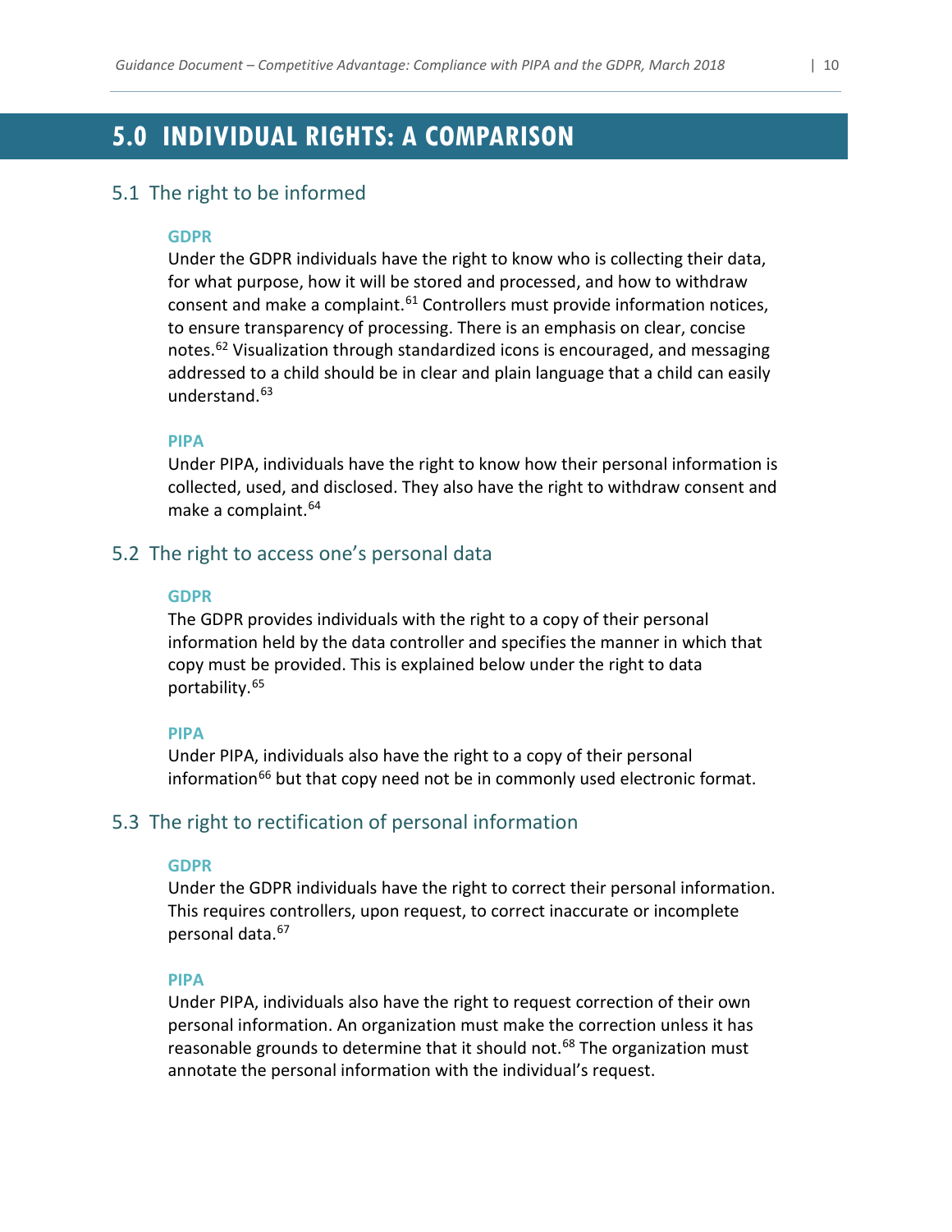# <span id="page-10-0"></span>**5.0 INDIVIDUAL RIGHTS: A COMPARISON**

#### 5.1 The right to be informed

#### **GDPR**

Under the GDPR individuals have the right to know who is collecting their data, for what purpose, how it will be stored and processed, and how to withdraw consent and make a complaint. $61$  Controllers must provide information notices, to ensure transparency of processing. There is an emphasis on clear, concise notes.<sup>[62](#page-21-15)</sup> Visualization through standardized icons is encouraged, and messaging addressed to a child should be in clear and plain language that a child can easily understand.[63](#page-21-16)

#### **PIPA**

Under PIPA, individuals have the right to know how their personal information is collected, used, and disclosed. They also have the right to withdraw consent and make a complaint.<sup>[64](#page-21-17)</sup>

#### 5.2 The right to access one's personal data

#### **GDPR**

The GDPR provides individuals with the right to a copy of their personal information held by the data controller and specifies the manner in which that copy must be provided. This is explained below under the right to data portability. [65](#page-21-18)

#### **PIPA**

Under PIPA, individuals also have the right to a copy of their personal information<sup>66</sup> but that copy need not be in commonly used electronic format.

#### 5.3 The right to rectification of personal information

#### **GDPR**

Under the GDPR individuals have the right to correct their personal information. This requires controllers, upon request, to correct inaccurate or incomplete personal data.<sup>[67](#page-21-20)</sup>

#### **PIPA**

Under PIPA, individuals also have the right to request correction of their own personal information. An organization must make the correction unless it has reasonable grounds to determine that it should not.<sup>[68](#page-21-21)</sup> The organization must annotate the personal information with the individual's request.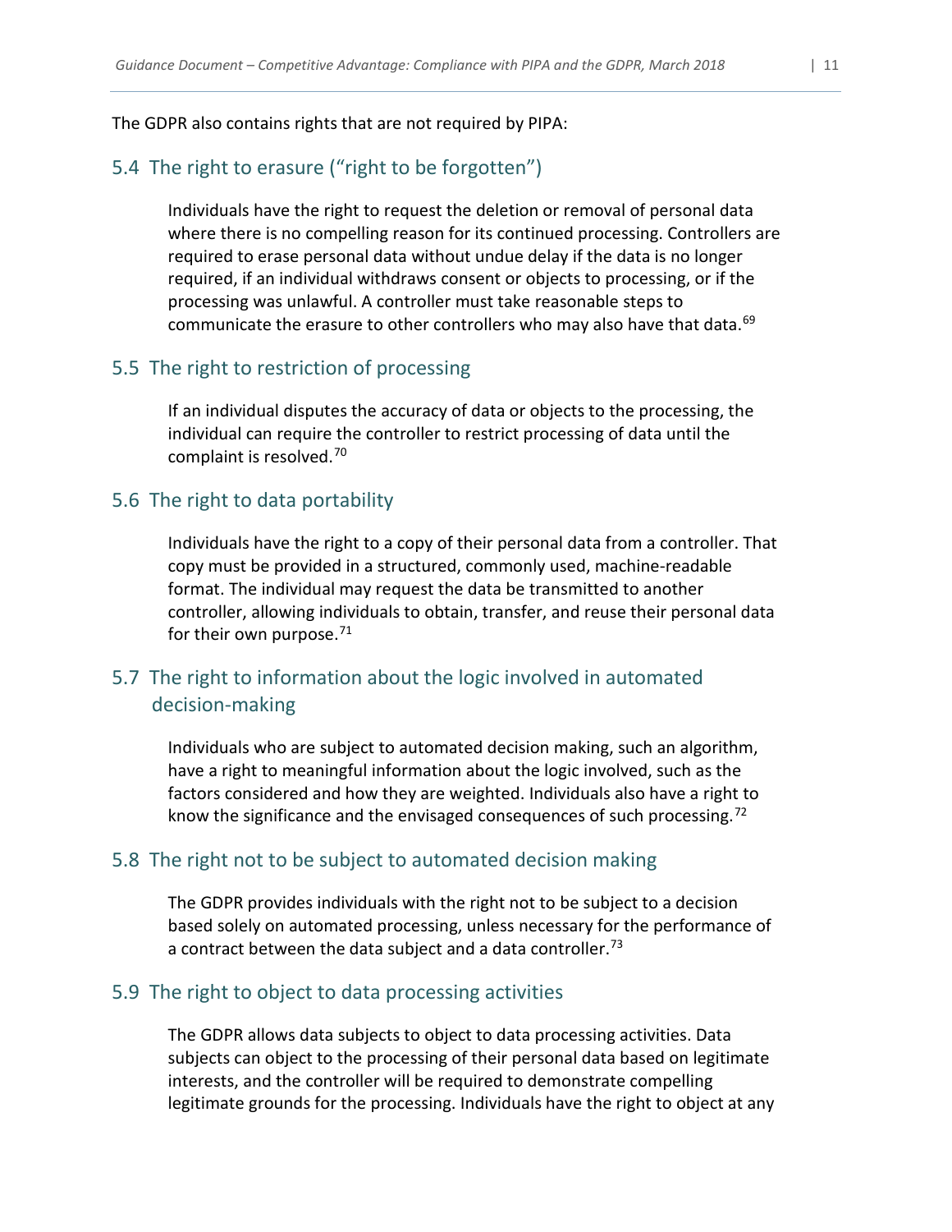#### The GDPR also contains rights that are not required by PIPA:

#### 5.4 The right to erasure ("right to be forgotten")

Individuals have the right to request the deletion or removal of personal data where there is no compelling reason for its continued processing. Controllers are required to erase personal data without undue delay if the data is no longer required, if an individual withdraws consent or objects to processing, or if the processing was unlawful. A controller must take reasonable steps to communicate the erasure to other controllers who may also have that data.<sup>[69](#page-21-22)</sup>

#### 5.5 The right to restriction of processing

If an individual disputes the accuracy of data or objects to the processing, the individual can require the controller to restrict processing of data until the complaint is resolved.[70](#page-21-23)

#### 5.6 The right to data portability

Individuals have the right to a copy of their personal data from a controller. That copy must be provided in a structured, commonly used, machine-readable format. The individual may request the data be transmitted to another controller, allowing individuals to obtain, transfer, and reuse their personal data for their own purpose. $71$ 

# 5.7 The right to information about the logic involved in automated decision-making

Individuals who are subject to automated decision making, such an algorithm, have a right to meaningful information about the logic involved, such as the factors considered and how they are weighted. Individuals also have a right to know the significance and the envisaged consequences of such processing.<sup>[72](#page-21-25)</sup>

#### 5.8 The right not to be subject to automated decision making

The GDPR provides individuals with the right not to be subject to a decision based solely on automated processing, unless necessary for the performance of a contract between the data subject and a data controller.<sup>[73](#page-21-26)</sup>

#### 5.9 The right to object to data processing activities

The GDPR allows data subjects to object to data processing activities. Data subjects can object to the processing of their personal data based on legitimate interests, and the controller will be required to demonstrate compelling legitimate grounds for the processing. Individuals have the right to object at any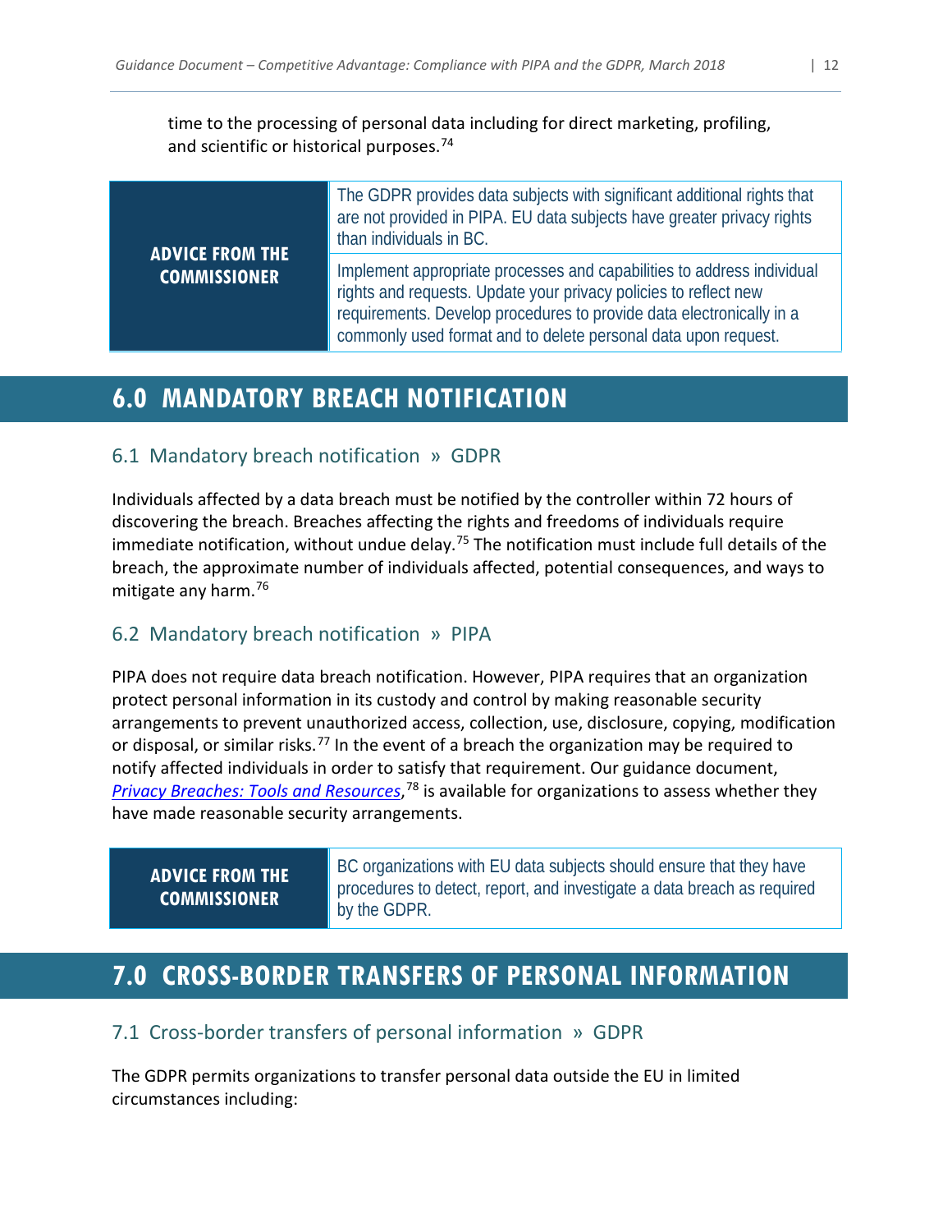time to the processing of personal data including for direct marketing, profiling, and scientific or historical purposes.<sup>[74](#page-21-27)</sup>

The GDPR provides data subjects with significant additional rights that

| <b>ADVICE FROM THE</b> | are not provided in PIPA. EU data subjects have greater privacy rights<br>than individuals in BC.                                                                                                                                                                                    |  |  |  |  |  |  |  |
|------------------------|--------------------------------------------------------------------------------------------------------------------------------------------------------------------------------------------------------------------------------------------------------------------------------------|--|--|--|--|--|--|--|
| <b>COMMISSIONER</b>    | Implement appropriate processes and capabilities to address individual<br>rights and requests. Update your privacy policies to reflect new<br>requirements. Develop procedures to provide data electronically in a<br>commonly used format and to delete personal data upon request. |  |  |  |  |  |  |  |

# <span id="page-12-0"></span>**6.0 MANDATORY BREACH NOTIFICATION**

### 6.1 Mandatory breach notification » GDPR

Individuals affected by a data breach must be notified by the controller within 72 hours of discovering the breach. Breaches affecting the rights and freedoms of individuals require immediate notification, without undue delay.<sup>[75](#page-21-28)</sup> The notification must include full details of the breach, the approximate number of individuals affected, potential consequences, and ways to mitigate any harm. [76](#page-21-29)

# 6.2 Mandatory breach notification » PIPA

PIPA does not require data breach notification. However, PIPA requires that an organization protect personal information in its custody and control by making reasonable security arrangements to prevent unauthorized access, collection, use, disclosure, copying, modification or disposal, or similar risks.<sup>[77](#page-21-30)</sup> In the event of a breach the organization may be required to notify affected individuals in order to satisfy that requirement. Our guidance document, *[Privacy Breaches: Tools and Resources](https://www.oipc.bc.ca/guidance-documents/1428)*, [78](#page-21-31) is available for organizations to assess whether they have made reasonable security arrangements.

# **ADVICE FROM THE COMMISSIONER**

BC organizations with EU data subjects should ensure that they have procedures to detect, report, and investigate a data breach as required by the GDPR.

# <span id="page-12-1"></span>**7.0 CROSS-BORDER TRANSFERS OF PERSONAL INFORMATION**

# 7.1 Cross-border transfers of personal information » GDPR

The GDPR permits organizations to transfer personal data outside the EU in limited circumstances including: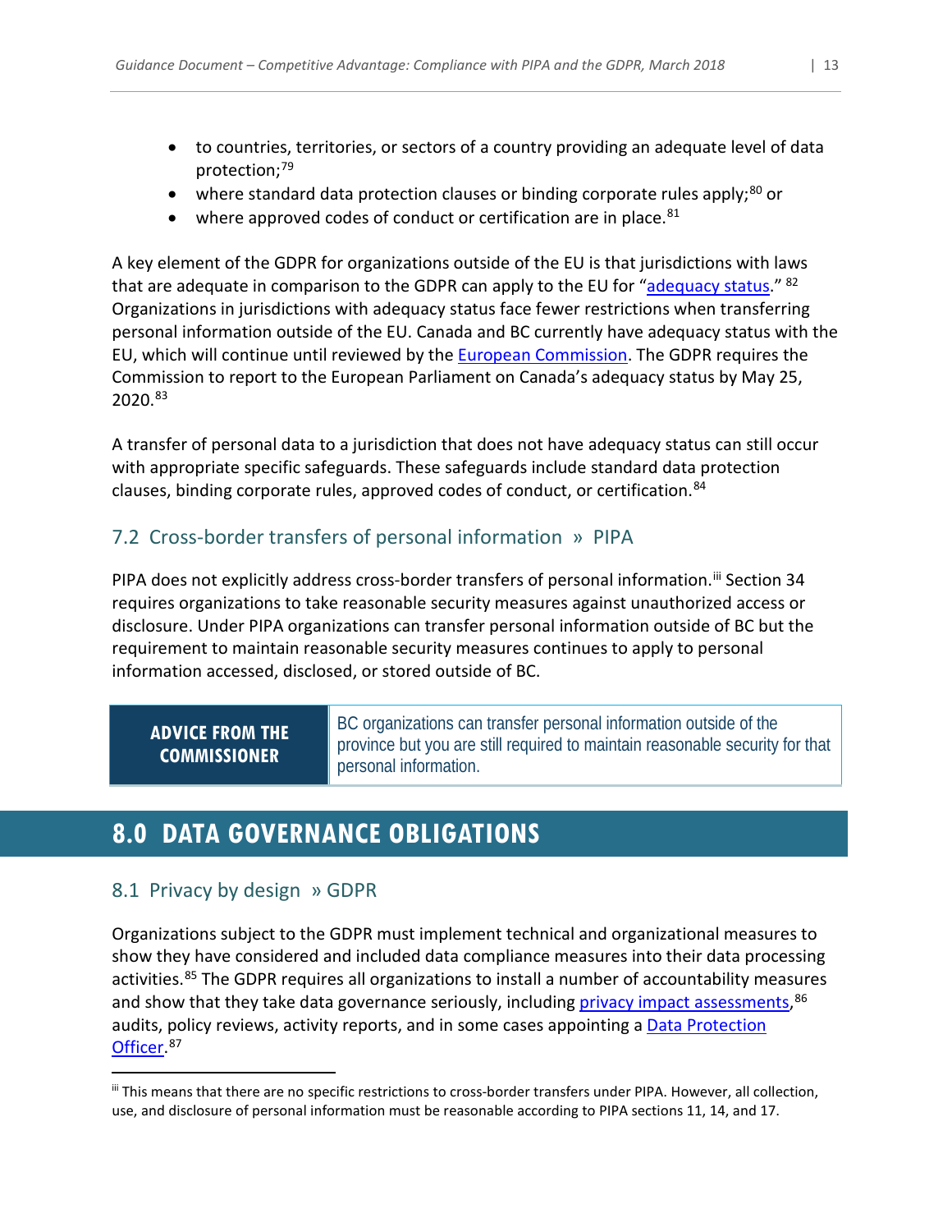- to countries, territories, or sectors of a country providing an adequate level of data protection;<sup>[79](#page-21-32)</sup>
- where standard data protection clauses or binding corporate rules apply;<sup>[80](#page-21-33)</sup> or
- where approved codes of conduct or certification are in place. $81$

A key element of the GDPR for organizations outside of the EU is that jurisdictions with laws that are adequate in comparison to the GDPR can apply to the EU for ["adequacy status.](#page-17-7)" <sup>82</sup> Organizations in jurisdictions with adequacy status face fewer restrictions when transferring personal information outside of the EU. Canada and BC currently have adequacy status with the EU, which will continue until reviewed by the [European Commission.](#page-17-6) The GDPR requires the Commission to report to the European Parliament on Canada's adequacy status by May 25, 2020.[83](#page-21-36)

A transfer of personal data to a jurisdiction that does not have adequacy status can still occur with appropriate specific safeguards. These safeguards include standard data protection clauses, binding corporate rules, approved codes of conduct, or certification.<sup>[84](#page-21-37)</sup>

# 7.2 Cross-border transfers of personal information » PIPA

PIPA does not explicitly address cross-border transfers of personal information.<sup>[iii](#page-13-1)</sup> Section 34 requires organizations to take reasonable security measures against unauthorized access or disclosure. Under PIPA organizations can transfer personal information outside of BC but the requirement to maintain reasonable security measures continues to apply to personal information accessed, disclosed, or stored outside of BC.

# **ADVICE FROM THE COMMISSIONER**

BC organizations can transfer personal information outside of the province but you are still required to maintain reasonable security for that personal information.

# <span id="page-13-0"></span>**8.0 DATA GOVERNANCE OBLIGATIONS**

# 8.1 Privacy by design » GDPR

Organizations subject to the GDPR must implement technical and organizational measures to show they have considered and included data compliance measures into their data processing activities.<sup>[85](#page-21-38)</sup> The GDPR requires all organizations to install a number of accountability measures and show that they take data governance seriously, including **privacy impact assessments, <sup>[86](#page-21-39)</sup>** audits, policy reviews, activity reports, and in some cases appointing a **Data Protection** [Officer.](#page-17-10)<sup>[87](#page-21-40)</sup>

<span id="page-13-1"></span>iii This means that there are no specific restrictions to cross-border transfers under PIPA. However, all collection, use, and disclosure of personal information must be reasonable according to PIPA sections 11, 14, and 17.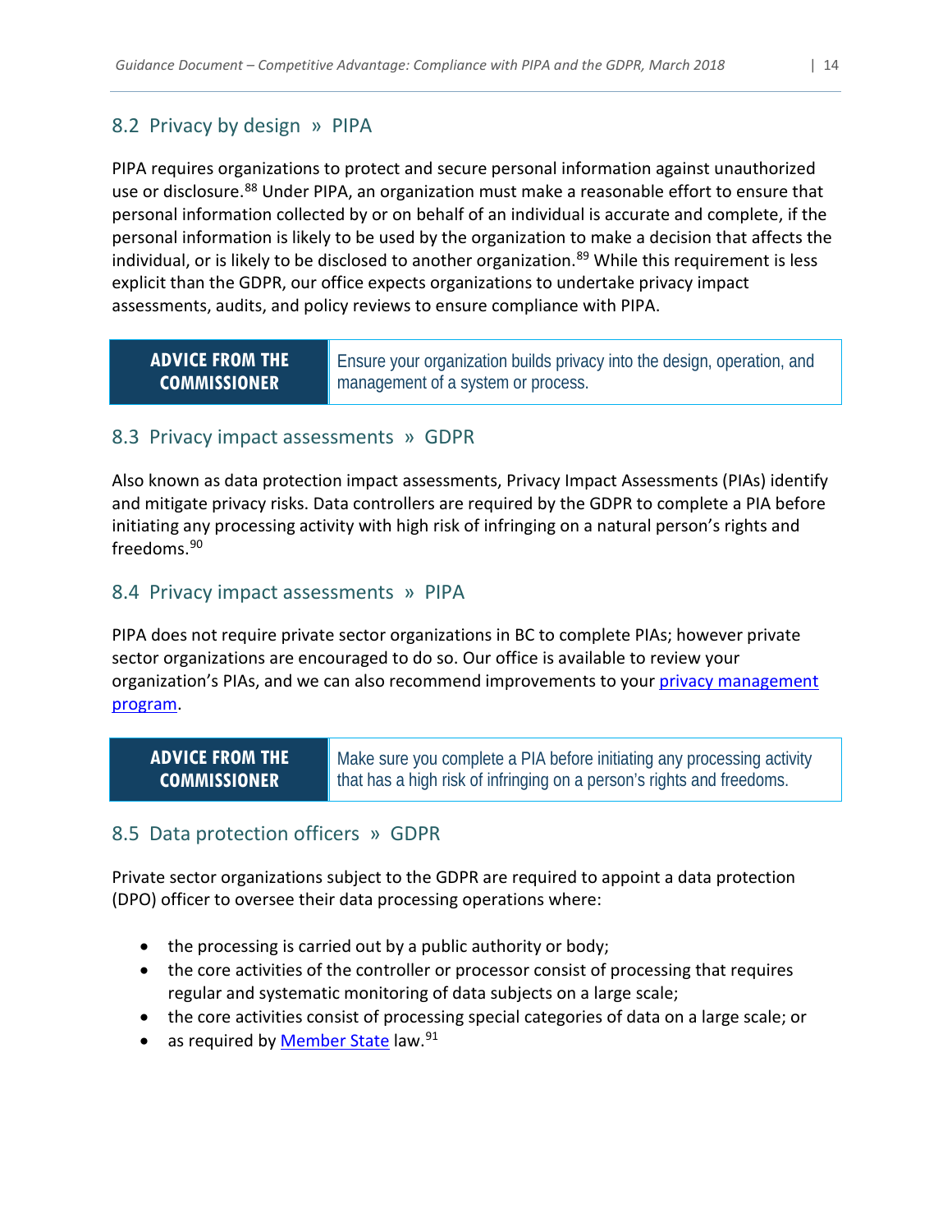# 8.2 Privacy by design » PIPA

PIPA requires organizations to protect and secure personal information against unauthorized use or disclosure.<sup>[88](#page-21-41)</sup> Under PIPA, an organization must make a reasonable effort to ensure that personal information collected by or on behalf of an individual is accurate and complete, if the personal information is likely to be used by the organization to make a decision that affects the individual, or is likely to be disclosed to another organization.<sup>[89](#page-21-42)</sup> While this requirement is less explicit than the GDPR, our office expects organizations to undertake privacy impact assessments, audits, and policy reviews to ensure compliance with PIPA.

### **ADVICE FROM THE COMMISSIONER**

Ensure your organization builds privacy into the design, operation, and management of a system or process.

#### <span id="page-14-0"></span>8.3 Privacy impact assessments » GDPR

Also known as data protection impact assessments, Privacy Impact Assessments (PIAs) identify and mitigate privacy risks. Data controllers are required by the GDPR to complete a PIA before initiating any processing activity with high risk of infringing on a natural person's rights and freedoms.<sup>[90](#page-21-43)</sup>

#### 8.4 Privacy impact assessments » PIPA

PIPA does not require private sector organizations in BC to complete PIAs; however private sector organizations are encouraged to do so. Our office is available to review your organization's PIAs, and we can also recommend improvements to your [privacy management](#page-18-6)  [program.](#page-18-6)

### **ADVICE FROM THE COMMISSIONER**

Make sure you complete a PIA before initiating any processing activity that has a high risk of infringing on a person's rights and freedoms.

# <span id="page-14-1"></span>8.5 Data protection officers » GDPR

Private sector organizations subject to the GDPR are required to appoint a data protection (DPO) officer to oversee their data processing operations where:

- the processing is carried out by a public authority or body;
- the core activities of the controller or processor consist of processing that requires regular and systematic monitoring of data subjects on a large scale;
- the core activities consist of processing special categories of data on a large scale; or
- as required by [Member State](#page-18-7) law.<sup>[91](#page-21-44)</sup>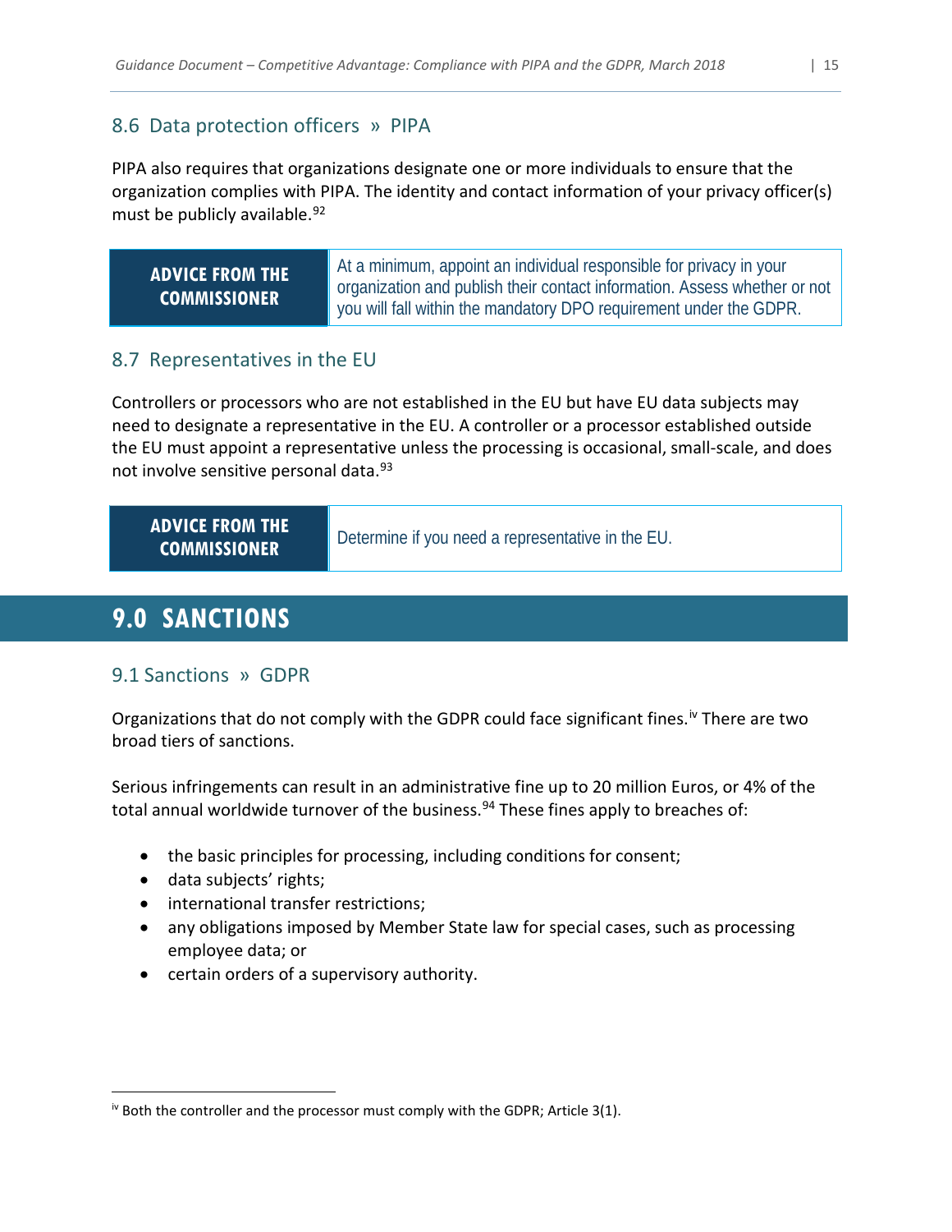# 8.6 Data protection officers » PIPA

PIPA also requires that organizations designate one or more individuals to ensure that the organization complies with PIPA. The identity and contact information of your privacy officer(s) must be publicly available.<sup>[92](#page-21-45)</sup>

| <b>ADVICE FROM THE</b> | At a minimum, appoint an individual responsible for privacy in your<br>organization and publish their contact information. Assess whether or not |
|------------------------|--------------------------------------------------------------------------------------------------------------------------------------------------|
| <b>COMMISSIONER</b>    | you will fall within the mandatory DPO requirement under the GDPR.                                                                               |

### 8.7 Representatives in the EU

Controllers or processors who are not established in the EU but have EU data subjects may need to designate a representative in the EU. A controller or a processor established outside the EU must appoint a representative unless the processing is occasional, small-scale, and does not involve sensitive personal data.<sup>93</sup>

| <b>ADVICE FROM THE</b><br><b>COMMISSIONER</b> | Determine if you need a representative in the EU. |
|-----------------------------------------------|---------------------------------------------------|
|-----------------------------------------------|---------------------------------------------------|

# <span id="page-15-0"></span>**9.0 SANCTIONS**

# 9.1 Sanctions » GDPR

Organizations that do not comply with the GDPR could face significant fines.<sup>[iv](#page-15-1)</sup> There are two broad tiers of sanctions.

Serious infringements can result in an administrative fine up to 20 million Euros, or 4% of the total annual worldwide turnover of the business.<sup>[94](#page-21-47)</sup> These fines apply to breaches of:

- the basic principles for processing, including conditions for consent;
- data subjects' rights;
- international transfer restrictions;
- any obligations imposed by Member State law for special cases, such as processing employee data; or
- certain orders of a supervisory authority.

<span id="page-15-1"></span> $\dot{N}$  Both the controller and the processor must comply with the GDPR; Article 3(1).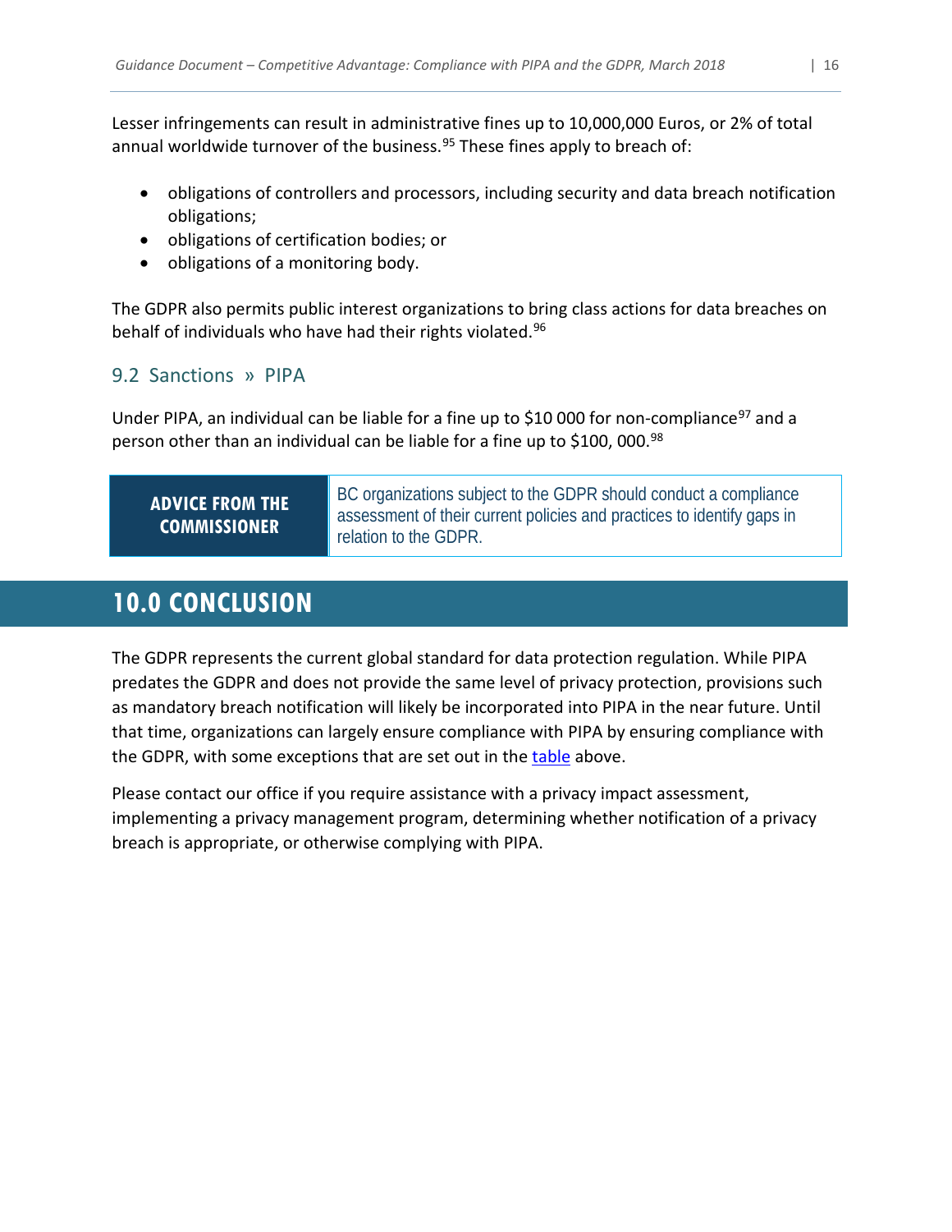Lesser infringements can result in administrative fines up to 10,000,000 Euros, or 2% of total annual worldwide turnover of the business.<sup>[95](#page-21-48)</sup> These fines apply to breach of:

- obligations of controllers and processors, including security and data breach notification obligations;
- obligations of certification bodies; or
- obligations of a monitoring body.

The GDPR also permits public interest organizations to bring class actions for data breaches on behalf of individuals who have had their rights violated.[96](#page-21-49)

# 9.2 Sanctions » PIPA

Under PIPA, an individual can be liable for a fine up to \$10 000 for non-compliance<sup>[97](#page-21-50)</sup> and a person other than an individual can be liable for a fine up to \$100, 000.<sup>[98](#page-21-51)</sup>

# **ADVICE FROM THE COMMISSIONER**

BC organizations subject to the GDPR should conduct a compliance assessment of their current policies and practices to identify gaps in relation to the GDPR.

# <span id="page-16-0"></span>**10.0 CONCLUSION**

The GDPR represents the current global standard for data protection regulation. While PIPA predates the GDPR and does not provide the same level of privacy protection, provisions such as mandatory breach notification will likely be incorporated into PIPA in the near future. Until that time, organizations can largely ensure compliance with PIPA by ensuring compliance with the GDPR, with some exceptions that are set out in the [table](#page-2-0) above.

Please contact our office if you require assistance with a privacy impact assessment, implementing a privacy management program, determining whether notification of a privacy breach is appropriate, or otherwise complying with PIPA.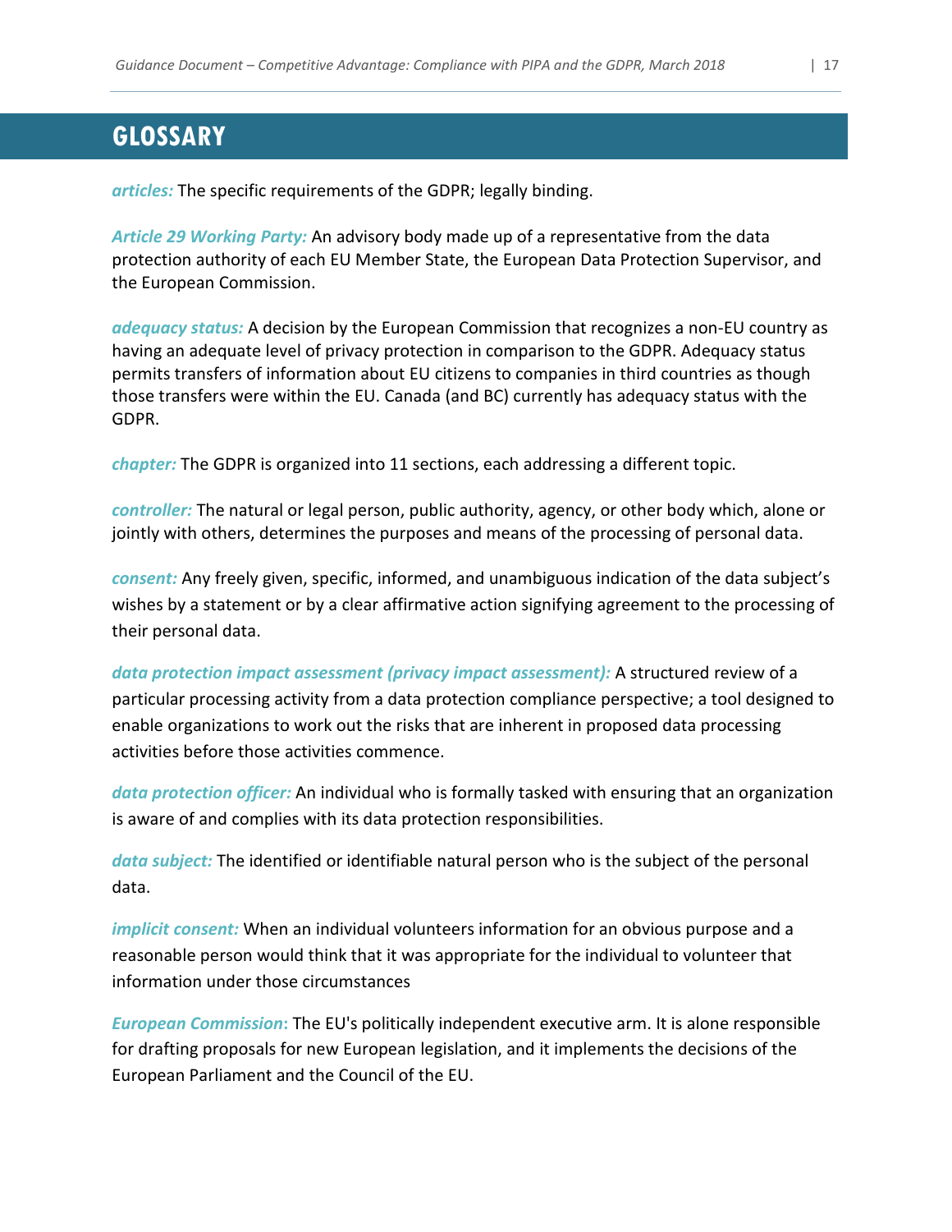# <span id="page-17-0"></span>**GLOSSARY**

<span id="page-17-1"></span>*articles:* The specific requirements of the GDPR; legally binding.

<span id="page-17-7"></span>*Article 29 Working Party:* An advisory body made up of a representative from the data protection authority of each EU Member State, the European Data Protection Supervisor, and the European Commission.

*adequacy status:* A decision by the European Commission that recognizes a non-EU country as having an adequate level of privacy protection in comparison to the GDPR. Adequacy status permits transfers of information about EU citizens to companies in third countries as though those transfers were within the EU. Canada (and BC) currently has adequacy status with the GDPR.

<span id="page-17-2"></span>*chapter:* The GDPR is organized into 11 sections, each addressing a different topic.

<span id="page-17-4"></span>*controller:* The natural or legal person, public authority, agency, or other body which, alone or jointly with others, determines the purposes and means of the processing of personal data.

<span id="page-17-5"></span>*consent:* Any freely given, specific, informed, and unambiguous indication of the data subject's wishes by a statement or by a clear affirmative action signifying agreement to the processing of their personal data.

<span id="page-17-9"></span>*data protection impact assessment (privacy impact assessment):* A structured review of a particular processing activity from a data protection compliance perspective; a tool designed to enable organizations to work out the risks that are inherent in proposed data processing activities before those activities commence.

<span id="page-17-10"></span>*data protection officer:* An individual who is formally tasked with ensuring that an organization is aware of and complies with its data protection responsibilities.

<span id="page-17-3"></span>*data subject:* The identified or identifiable natural person who is the subject of the personal data.

<span id="page-17-8"></span>*implicit consent:* When an individual volunteers information for an obvious purpose and a reasonable person would think that it was appropriate for the individual to volunteer that information under those circumstances

<span id="page-17-6"></span>*European Commission***:** The EU's politically independent executive arm. It is alone responsible for drafting proposals for new European legislation, and it implements the decisions of the European Parliament and the Council of the EU.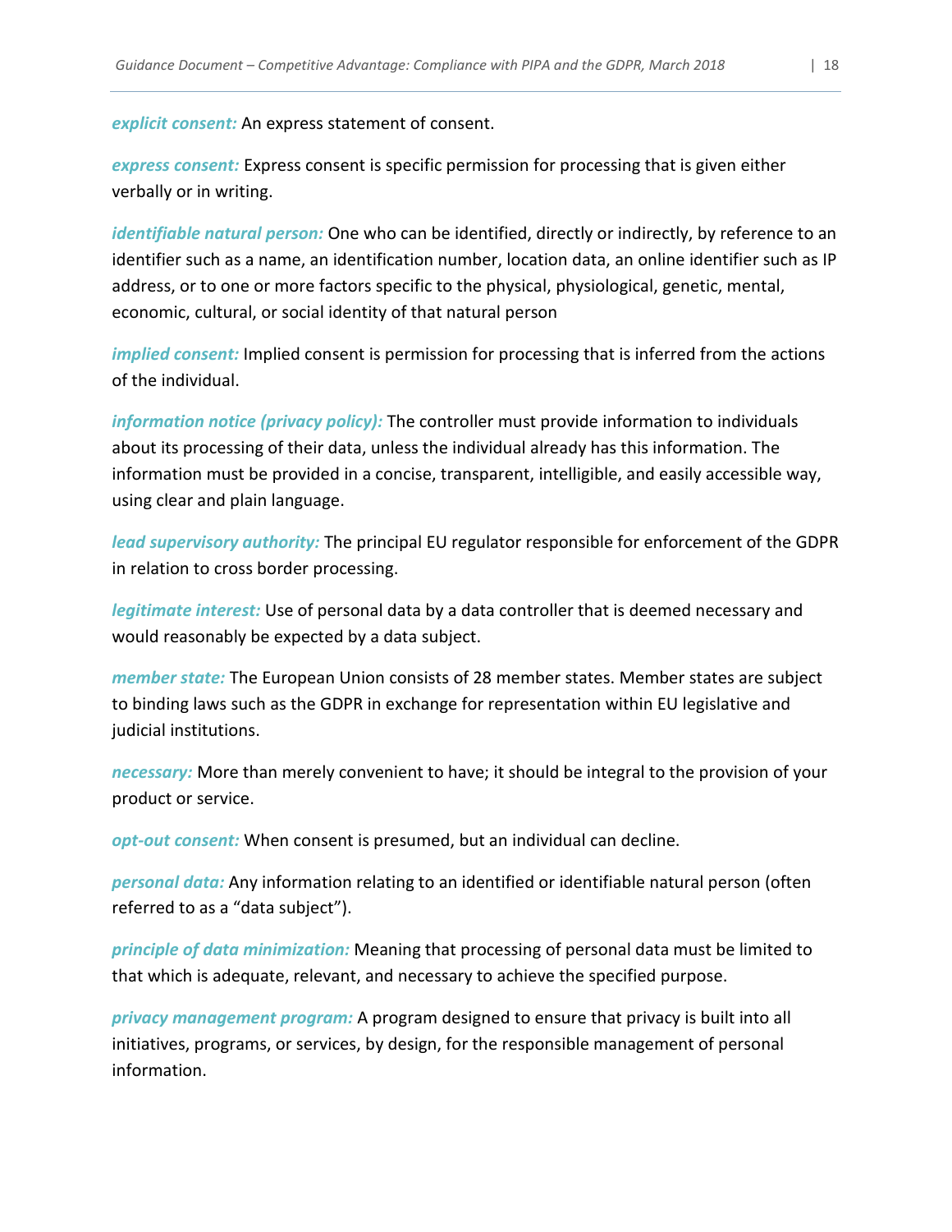*explicit consent:* An express statement of consent.

<span id="page-18-2"></span>*express consent:* Express consent is specific permission for processing that is given either verbally or in writing.

*identifiable natural person:* One who can be identified, directly or indirectly, by reference to an identifier such as a name, an identification number, location data, an online identifier such as IP address, or to one or more factors specific to the physical, physiological, genetic, mental, economic, cultural, or social identity of that natural person

<span id="page-18-5"></span>*implied consent:* Implied consent is permission for processing that is inferred from the actions of the individual.

*information notice (privacy policy):* The controller must provide information to individuals about its processing of their data, unless the individual already has this information. The information must be provided in a concise, transparent, intelligible, and easily accessible way, using clear and plain language.

*lead supervisory authority:* The principal EU regulator responsible for enforcement of the GDPR in relation to cross border processing.

<span id="page-18-4"></span>*legitimate interest:* Use of personal data by a data controller that is deemed necessary and would reasonably be expected by a data subject.

<span id="page-18-7"></span>*member state:* The European Union consists of 28 member states. Member states are subject to binding laws such as the GDPR in exchange for representation within EU legislative and judicial institutions.

<span id="page-18-3"></span>*necessary:* More than merely convenient to have; it should be integral to the provision of your product or service.

<span id="page-18-1"></span>*opt-out consent:* When consent is presumed, but an individual can decline.

*personal data:* Any information relating to an identified or identifiable natural person (often referred to as a "data subject").

<span id="page-18-0"></span>*principle of data minimization:* Meaning that processing of personal data must be limited to that which is adequate, relevant, and necessary to achieve the specified purpose.

<span id="page-18-6"></span>*privacy management program:* A program designed to ensure that privacy is built into all initiatives, programs, or services, by design, for the responsible management of personal information.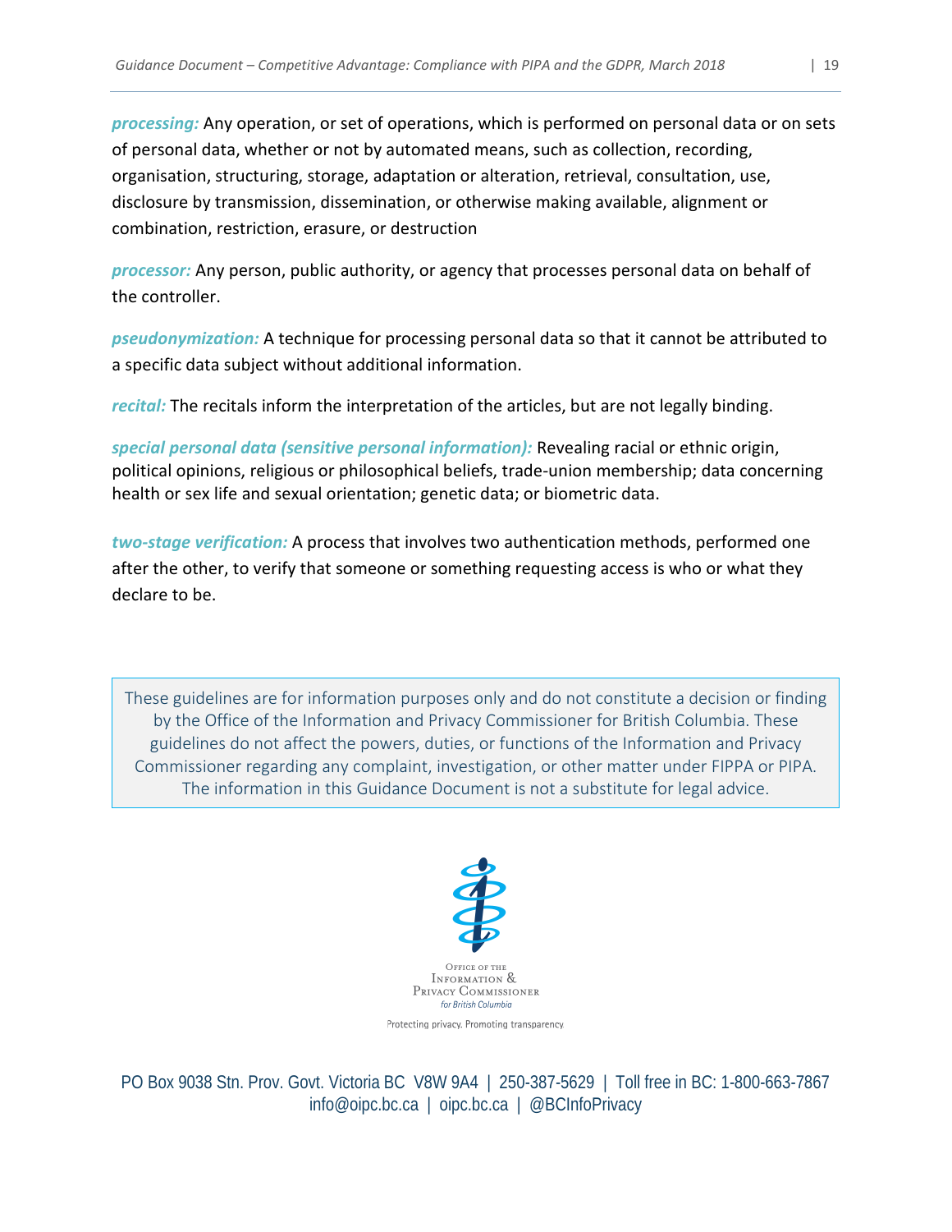<span id="page-19-1"></span>*processing:* Any operation, or set of operations, which is performed on personal data or on sets of personal data, whether or not by automated means, such as collection, recording, organisation, structuring, storage, adaptation or alteration, retrieval, consultation, use, disclosure by transmission, dissemination, or otherwise making available, alignment or combination, restriction, erasure, or destruction

<span id="page-19-2"></span>*processor:* Any person, public authority, or agency that processes personal data on behalf of the controller.

<span id="page-19-4"></span>*pseudonymization:* A technique for processing personal data so that it cannot be attributed to a specific data subject without additional information.

<span id="page-19-0"></span>*recital:* The recitals inform the interpretation of the articles, but are not legally binding.

<span id="page-19-3"></span>*special personal data (sensitive personal information):* Revealing racial or ethnic origin, political opinions, religious or philosophical beliefs, trade-union membership; data concerning health or sex life and sexual orientation; genetic data; or biometric data.

<span id="page-19-5"></span>*two-stage verification:* A process that involves two authentication methods, performed one after the other, to verify that someone or something requesting access is who or what they declare to be.

These guidelines are for information purposes only and do not constitute a decision or finding by the Office of the Information and Privacy Commissioner for British Columbia. These guidelines do not affect the powers, duties, or functions of the Information and Privacy Commissioner regarding any complaint, investigation, or other matter under FIPPA or PIPA. The information in this Guidance Document is not a substitute for legal advice.



Protecting privacy. Promoting transparency.

PO Box 9038 Stn. Prov. Govt. Victoria BC V8W 9A4 | 250-387-5629 | Toll free in BC: 1-800-663-7867 [info@oipc.bc.ca](mailto:info@oipc.bc.ca) | oipc.bc.ca | @BCInfoPrivacy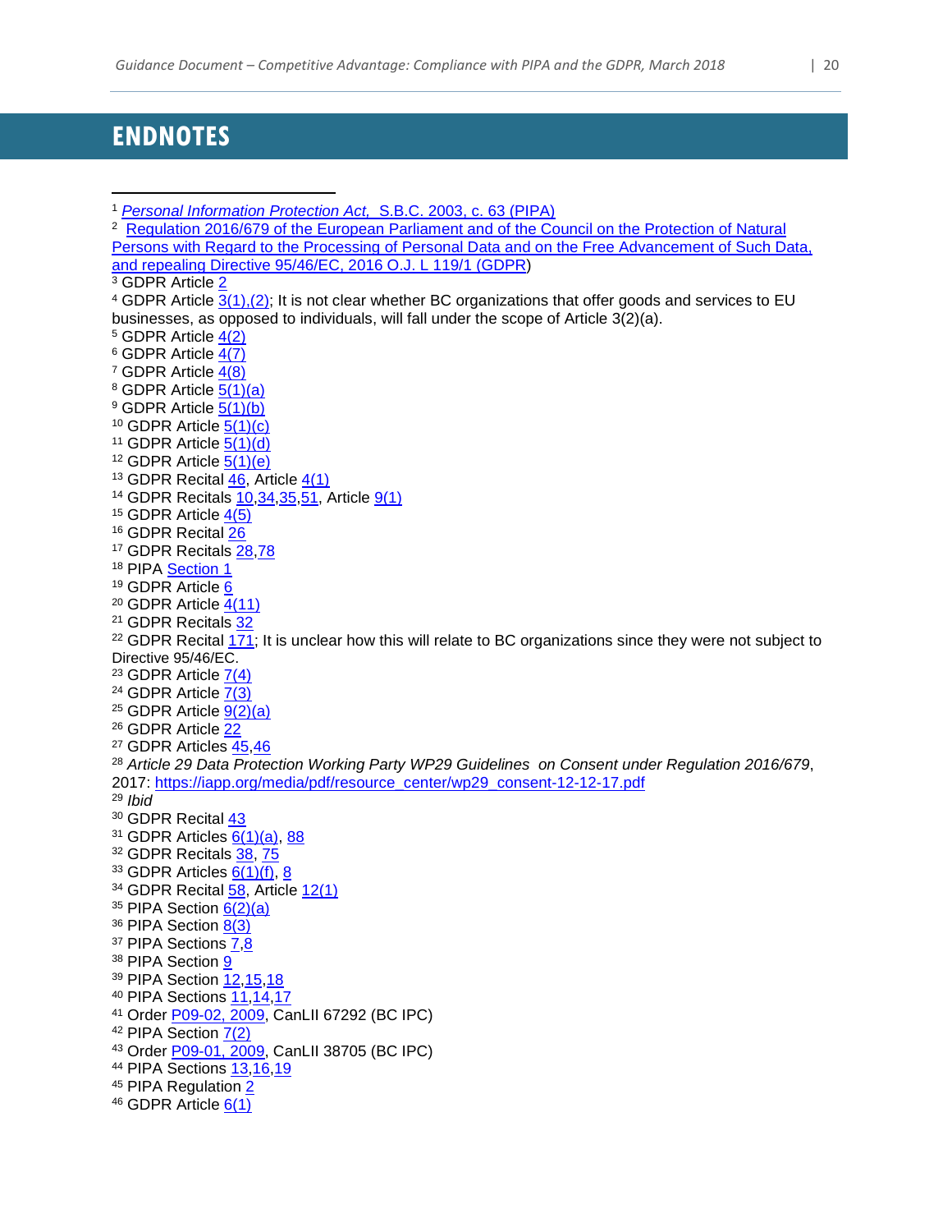# <span id="page-20-0"></span>**ENDNOTES**

```
1 Personal Information Protection Act, S.B.C. 2003, c. 63 (PIPA)
2 Regulation 2016/679 of the European Parliament and of the Council on the Protection of Natural 
Persons with Regard to the Processing of Personal Data and on the Free Advancement of Such Data, 
and repealing Directive 95/46/EC, 2016 O.J. L 119/1 (GDPR)
3 GDPR Article 2
4 GDPR Article 3(1),(2); It is not clear whether BC organizations that offer goods and services to EU 
businesses, as opposed to individuals, will fall under the scope of Article 3(2)(a).
5 GDPR Article 4(2)
GDPR Article 4(7)
7 GDPR Article 4(8)
8 GDPR Article 5(1)(a)
 5(1)(b)
10 GDPR Article 5(1)(c)11 GDPR Article 5(1)(d)12 GDPR Article 5(1)(e)13 GDPR Recital 46, Article 4(1)
14 GDPR Recitals 10,34,35,51, Article 9(1)
15 GDPR Article 4(5)
16 GDPR Recital 26
 28,78
 Section 1
19 GDPR Article 6
20 GDPR Article 4(11)
21 GDPR Recitals 32
22 GDPR Recital 171; It is unclear how this will relate to BC organizations since they were not subject to
Directive 95/46/EC.
23 GDPR Article 7(4)
24 GDPR Article 7(3)
25 GDPR Article 9(2)(a)26 GDPR Article 22
27 GDPR Articles 45,46
28 Article 29 Data Protection Working Party WP29 Guidelines on Consent under Regulation 2016/679, 
2017: https://iapp.org/media/pdf/resource_center/wp29_consent-12-12-17.pdf
29 Ibid
30 GDPR Recital 43
31 GDPR Articles 6(1)(a), 88
 38, 75
33 GDPR Articles 6(1)(f) 8
34 GDPR Recital 58, Article 12(1)
35 PIPA Section 6(2)(a)36 PIPA Section 8(3)
 7,8
38 PIPA Section 9
39 PIPA Section ,15,18
40 PIPA Sections 11,14,17
41 Order P09-02, 2009, CanLII 67292 (BC IPC)
 7(2)
43 Order P09-01, 2009, CanLII 38705 (BC IPC)
44 PIPA Sections ,16,19
 2
46 GDPR Article 6(1)\overline{a}
```